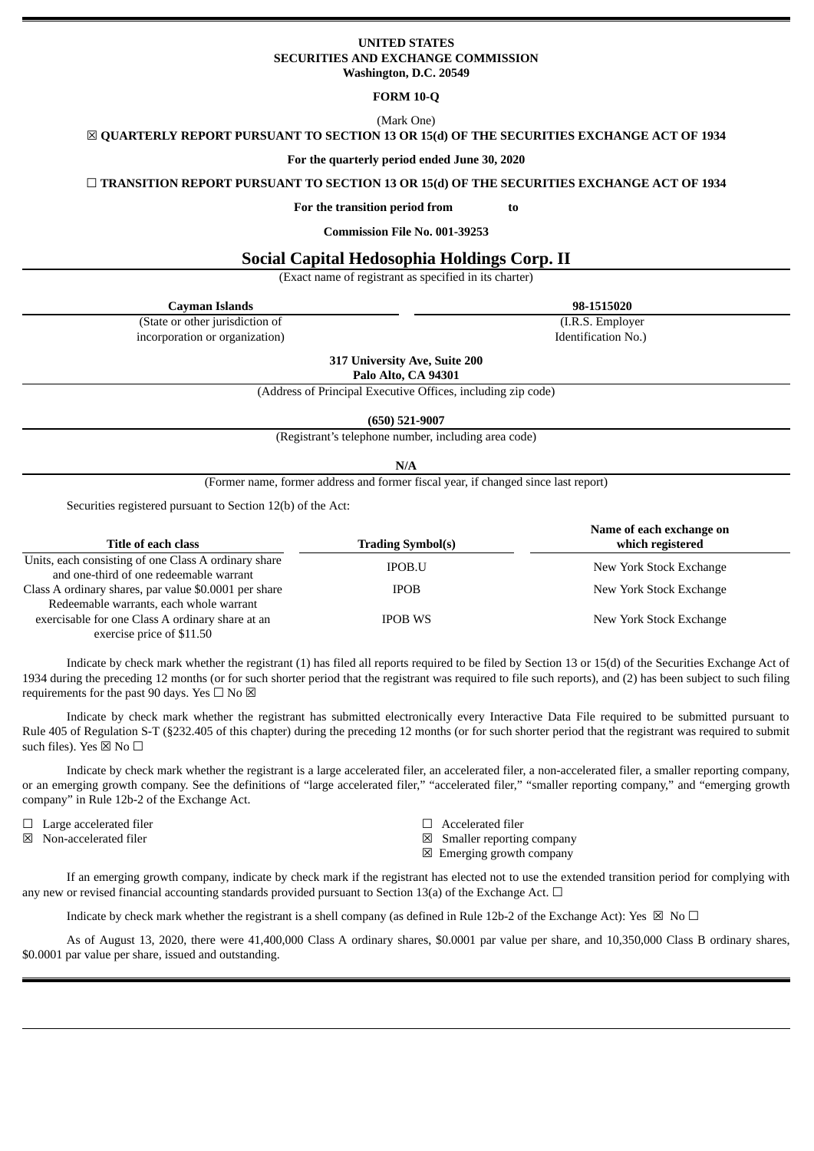### **UNITED STATES SECURITIES AND EXCHANGE COMMISSION Washington, D.C. 20549**

#### **FORM 10-Q**

# (Mark One)

☒ **QUARTERLY REPORT PURSUANT TO SECTION 13 OR 15(d) OF THE SECURITIES EXCHANGE ACT OF 1934**

**For the quarterly period ended June 30, 2020**

#### ☐ **TRANSITION REPORT PURSUANT TO SECTION 13 OR 15(d) OF THE SECURITIES EXCHANGE ACT OF 1934**

**For the transition period from to**

**Commission File No. 001-39253**

## **Social Capital Hedosophia Holdings Corp. II**

(Exact name of registrant as specified in its charter)

| Cayman Islands                                       | 98-1515020          |
|------------------------------------------------------|---------------------|
| (State or other jurisdiction of                      | (I.R.S. Employer)   |
| incorporation or organization)                       | Identification No.) |
| 317 University Ave, Suite 200<br>Palo Alto, CA 94301 |                     |

(Address of Principal Executive Offices, including zip code)

**(650) 521-9007**

(Registrant's telephone number, including area code)

**N/A**

(Former name, former address and former fiscal year, if changed since last report)

Securities registered pursuant to Section 12(b) of the Act:

| <b>Title of each class</b>                                                                       | <b>Trading Symbol(s)</b> | Name of each exchange on<br>which registered |
|--------------------------------------------------------------------------------------------------|--------------------------|----------------------------------------------|
| Units, each consisting of one Class A ordinary share<br>and one-third of one redeemable warrant  | <b>IPOB.U</b>            | New York Stock Exchange                      |
| Class A ordinary shares, par value \$0.0001 per share<br>Redeemable warrants, each whole warrant | <b>IPOB</b>              | New York Stock Exchange                      |
| exercisable for one Class A ordinary share at an<br>exercise price of \$11.50                    | <b>IPOB WS</b>           | New York Stock Exchange                      |

Indicate by check mark whether the registrant (1) has filed all reports required to be filed by Section 13 or 15(d) of the Securities Exchange Act of 1934 during the preceding 12 months (or for such shorter period that the registrant was required to file such reports), and (2) has been subject to such filing requirements for the past 90 days. Yes  $\Box$  No  $\boxtimes$ 

Indicate by check mark whether the registrant has submitted electronically every Interactive Data File required to be submitted pursuant to Rule 405 of Regulation S-T (§232.405 of this chapter) during the preceding 12 months (or for such shorter period that the registrant was required to submit such files). Yes  $\boxtimes$  No  $\Box$ 

Indicate by check mark whether the registrant is a large accelerated filer, an accelerated filer, a non-accelerated filer, a smaller reporting company, or an emerging growth company. See the definitions of "large accelerated filer," "accelerated filer," "smaller reporting company," and "emerging growth company" in Rule 12b-2 of the Exchange Act.

☐ Large accelerated filer ☐ Accelerated filer

- 
- $\boxtimes$  Non-accelerated filer  $\boxtimes$  Smaller reporting company
	- ☒ Emerging growth company

If an emerging growth company, indicate by check mark if the registrant has elected not to use the extended transition period for complying with any new or revised financial accounting standards provided pursuant to Section 13(a) of the Exchange Act.  $\Box$ 

Indicate by check mark whether the registrant is a shell company (as defined in Rule 12b-2 of the Exchange Act): Yes  $\boxtimes$  No  $\Box$ 

As of August 13, 2020, there were 41,400,000 Class A ordinary shares, \$0.0001 par value per share, and 10,350,000 Class B ordinary shares, \$0.0001 par value per share, issued and outstanding.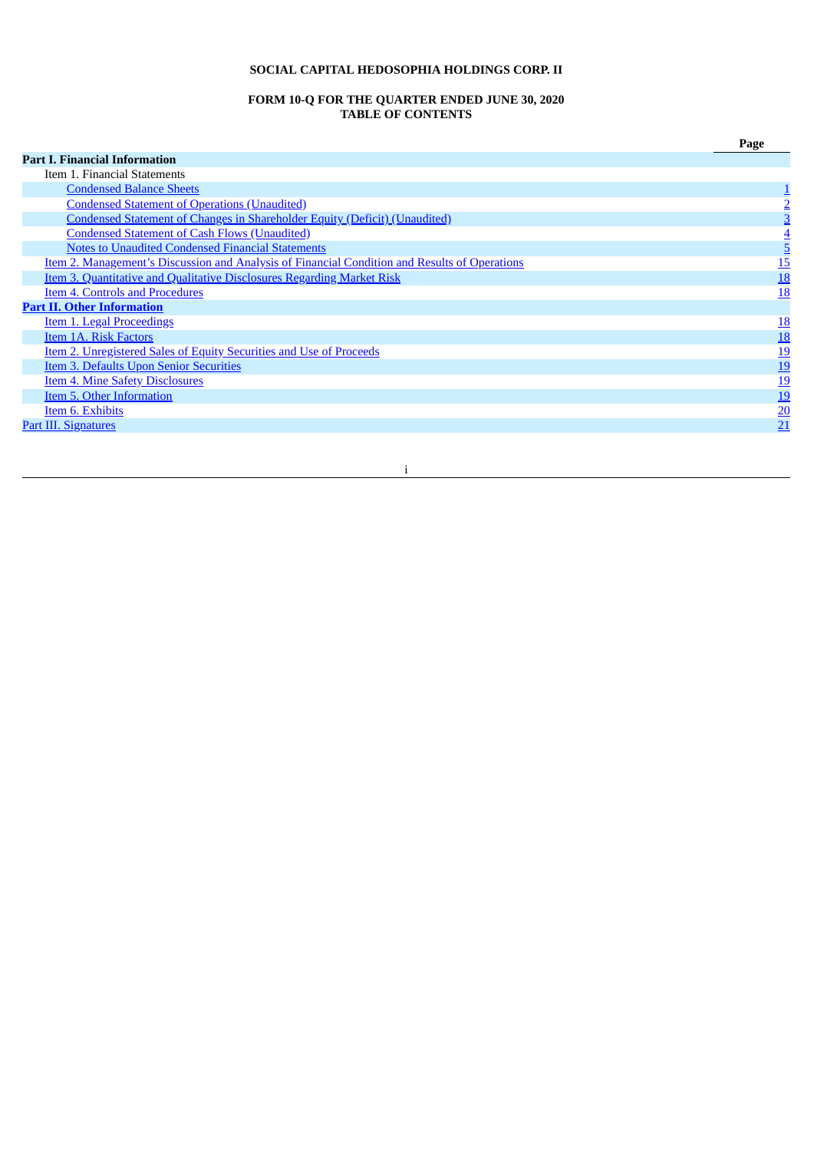## **SOCIAL CAPITAL HEDOSOPHIA HOLDINGS CORP. II**

#### **FORM 10-Q FOR THE QUARTER ENDED JUNE 30, 2020 TABLE OF CONTENTS**

|                                                                                               | Page            |
|-----------------------------------------------------------------------------------------------|-----------------|
| <b>Part I. Financial Information</b>                                                          |                 |
| Item 1. Financial Statements                                                                  |                 |
| <b>Condensed Balance Sheets</b>                                                               |                 |
| <b>Condensed Statement of Operations (Unaudited)</b>                                          |                 |
| Condensed Statement of Changes in Shareholder Equity (Deficit) (Unaudited)                    |                 |
| <b>Condensed Statement of Cash Flows (Unaudited)</b>                                          |                 |
| <b>Notes to Unaudited Condensed Financial Statements</b>                                      |                 |
| Item 2. Management's Discussion and Analysis of Financial Condition and Results of Operations | $\frac{15}{18}$ |
| Item 3. Quantitative and Qualitative Disclosures Regarding Market Risk                        |                 |
| <b>Item 4. Controls and Procedures</b>                                                        | 18              |
| <b>Part II. Other Information</b>                                                             |                 |
| Item 1. Legal Proceedings                                                                     | <u>18</u>       |
| Item 1A. Risk Factors                                                                         | 18              |
| Item 2. Unregistered Sales of Equity Securities and Use of Proceeds                           | $\frac{19}{19}$ |
| Item 3. Defaults Upon Senior Securities                                                       |                 |
| <b>Item 4. Mine Safety Disclosures</b>                                                        | <u>19</u>       |
| Item 5. Other Information                                                                     | <u>19</u>       |
| Item 6. Exhibits                                                                              | 20              |
| <b>Part III. Signatures</b>                                                                   | $\overline{21}$ |
|                                                                                               |                 |

i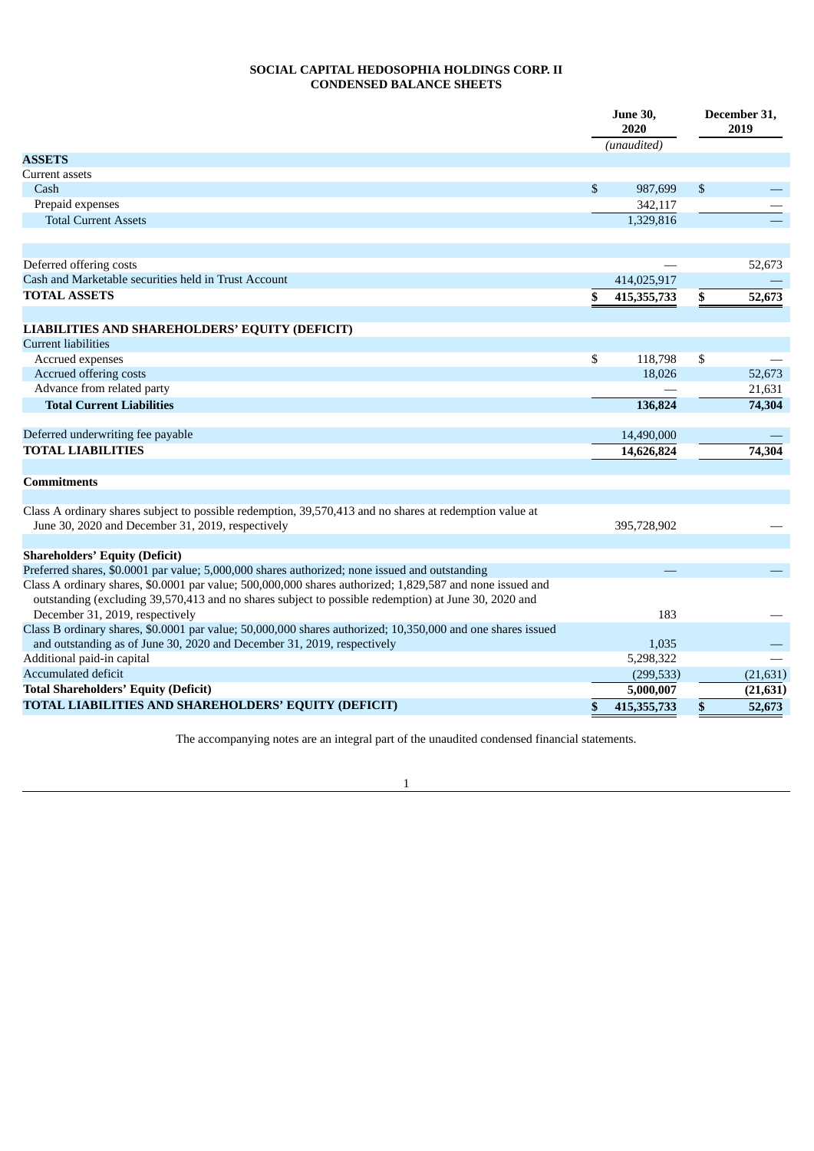## **SOCIAL CAPITAL HEDOSOPHIA HOLDINGS CORP. II CONDENSED BALANCE SHEETS**

<span id="page-2-0"></span>

|                                                                                                                                                                                                                                                      | <b>June 30,</b><br>2020<br>(unaudited) |              | December 31,<br>2019 |
|------------------------------------------------------------------------------------------------------------------------------------------------------------------------------------------------------------------------------------------------------|----------------------------------------|--------------|----------------------|
| <b>ASSETS</b>                                                                                                                                                                                                                                        |                                        |              |                      |
| Current assets                                                                                                                                                                                                                                       |                                        |              |                      |
| Cash                                                                                                                                                                                                                                                 | \$<br>987,699                          | $\mathbb{S}$ |                      |
| Prepaid expenses                                                                                                                                                                                                                                     | 342,117                                |              |                      |
| <b>Total Current Assets</b>                                                                                                                                                                                                                          | 1,329,816                              |              |                      |
|                                                                                                                                                                                                                                                      |                                        |              |                      |
| Deferred offering costs                                                                                                                                                                                                                              |                                        |              | 52,673               |
| Cash and Marketable securities held in Trust Account                                                                                                                                                                                                 | 414,025,917                            |              |                      |
| <b>TOTAL ASSETS</b>                                                                                                                                                                                                                                  | \$<br>415,355,733                      | \$           | 52,673               |
| LIABILITIES AND SHAREHOLDERS' EQUITY (DEFICIT)                                                                                                                                                                                                       |                                        |              |                      |
| <b>Current liabilities</b>                                                                                                                                                                                                                           |                                        |              |                      |
| Accrued expenses                                                                                                                                                                                                                                     | \$<br>118,798                          | \$           |                      |
| Accrued offering costs                                                                                                                                                                                                                               | 18,026                                 |              | 52,673               |
| Advance from related party                                                                                                                                                                                                                           |                                        |              | 21,631               |
| <b>Total Current Liabilities</b>                                                                                                                                                                                                                     | 136,824                                |              | 74,304               |
| Deferred underwriting fee payable                                                                                                                                                                                                                    | 14,490,000                             |              |                      |
| <b>TOTAL LIABILITIES</b>                                                                                                                                                                                                                             | 14,626,824                             |              | 74,304               |
| <b>Commitments</b>                                                                                                                                                                                                                                   |                                        |              |                      |
| Class A ordinary shares subject to possible redemption, 39,570,413 and no shares at redemption value at<br>June 30, 2020 and December 31, 2019, respectively                                                                                         | 395,728,902                            |              |                      |
| <b>Shareholders' Equity (Deficit)</b>                                                                                                                                                                                                                |                                        |              |                      |
| Preferred shares, \$0.0001 par value; 5,000,000 shares authorized; none issued and outstanding                                                                                                                                                       |                                        |              |                      |
| Class A ordinary shares, \$0.0001 par value; 500,000,000 shares authorized; 1,829,587 and none issued and<br>outstanding (excluding 39,570,413 and no shares subject to possible redemption) at June 30, 2020 and<br>December 31, 2019, respectively | 183                                    |              |                      |
| Class B ordinary shares, \$0.0001 par value; 50,000,000 shares authorized; 10,350,000 and one shares issued                                                                                                                                          |                                        |              |                      |
| and outstanding as of June 30, 2020 and December 31, 2019, respectively                                                                                                                                                                              | 1,035                                  |              |                      |
| Additional paid-in capital                                                                                                                                                                                                                           | 5,298,322                              |              |                      |
| <b>Accumulated deficit</b>                                                                                                                                                                                                                           | (299, 533)                             |              | (21, 631)            |
| <b>Total Shareholders' Equity (Deficit)</b>                                                                                                                                                                                                          | 5,000,007                              |              | (21, 631)            |
| TOTAL LIABILITIES AND SHAREHOLDERS' EQUITY (DEFICIT)                                                                                                                                                                                                 | \$<br>415, 355, 733                    | \$           | 52,673               |

The accompanying notes are an integral part of the unaudited condensed financial statements.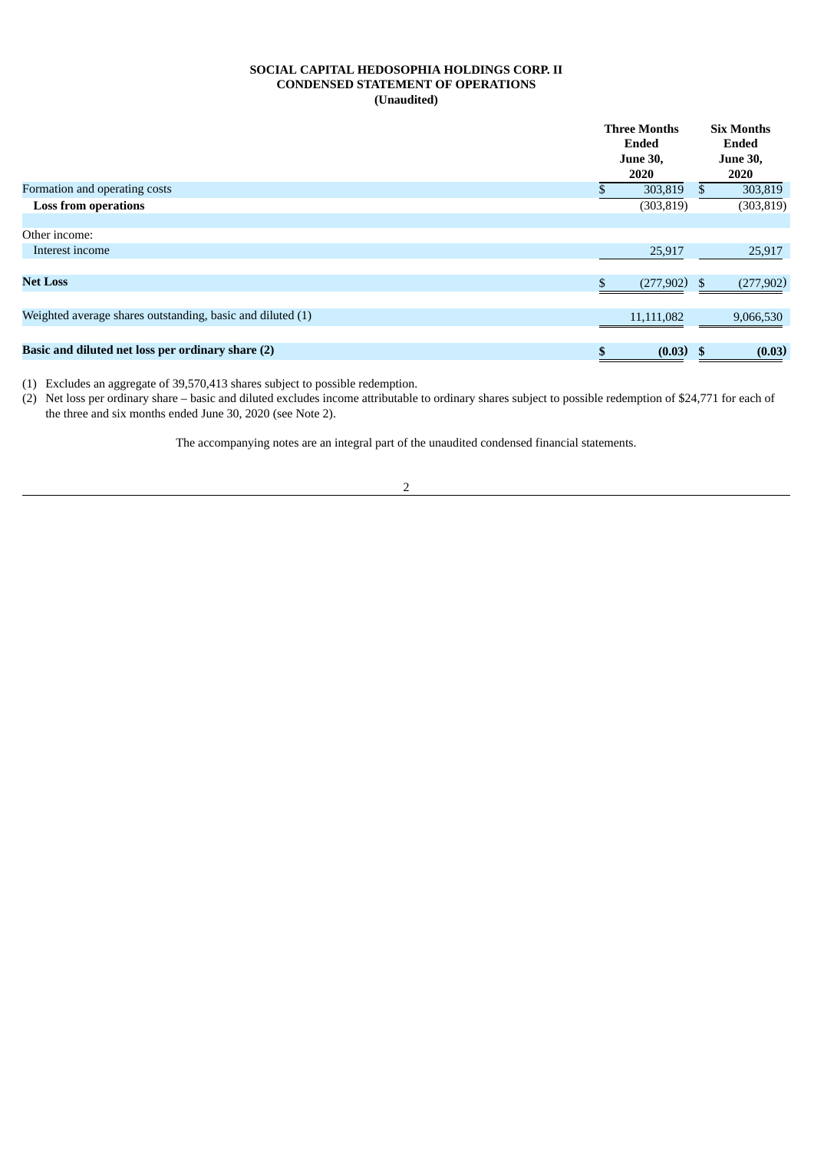## **SOCIAL CAPITAL HEDOSOPHIA HOLDINGS CORP. II CONDENSED STATEMENT OF OPERATIONS (Unaudited)**

<span id="page-3-0"></span>

|                                                            | <b>Three Months</b><br>Ended<br><b>June 30,</b><br>2020 | <b>Six Months</b><br>Ended<br><b>June 30,</b><br>2020 |
|------------------------------------------------------------|---------------------------------------------------------|-------------------------------------------------------|
| Formation and operating costs                              | 303,819                                                 | 303,819<br>\$                                         |
| <b>Loss from operations</b>                                | (303, 819)                                              | (303, 819)                                            |
| Other income:                                              |                                                         |                                                       |
| Interest income                                            | 25,917                                                  | 25,917                                                |
| <b>Net Loss</b>                                            | $(277,902)$ \$<br>$\mathfrak{L}$                        | (277,902)                                             |
| Weighted average shares outstanding, basic and diluted (1) | 11,111,082                                              | 9,066,530                                             |
| Basic and diluted net loss per ordinary share (2)          | \$<br>$(0.03)$ \$                                       | (0.03)                                                |

(1) Excludes an aggregate of 39,570,413 shares subject to possible redemption.

(2) Net loss per ordinary share – basic and diluted excludes income attributable to ordinary shares subject to possible redemption of \$24,771 for each of the three and six months ended June 30, 2020 (see Note 2).

The accompanying notes are an integral part of the unaudited condensed financial statements.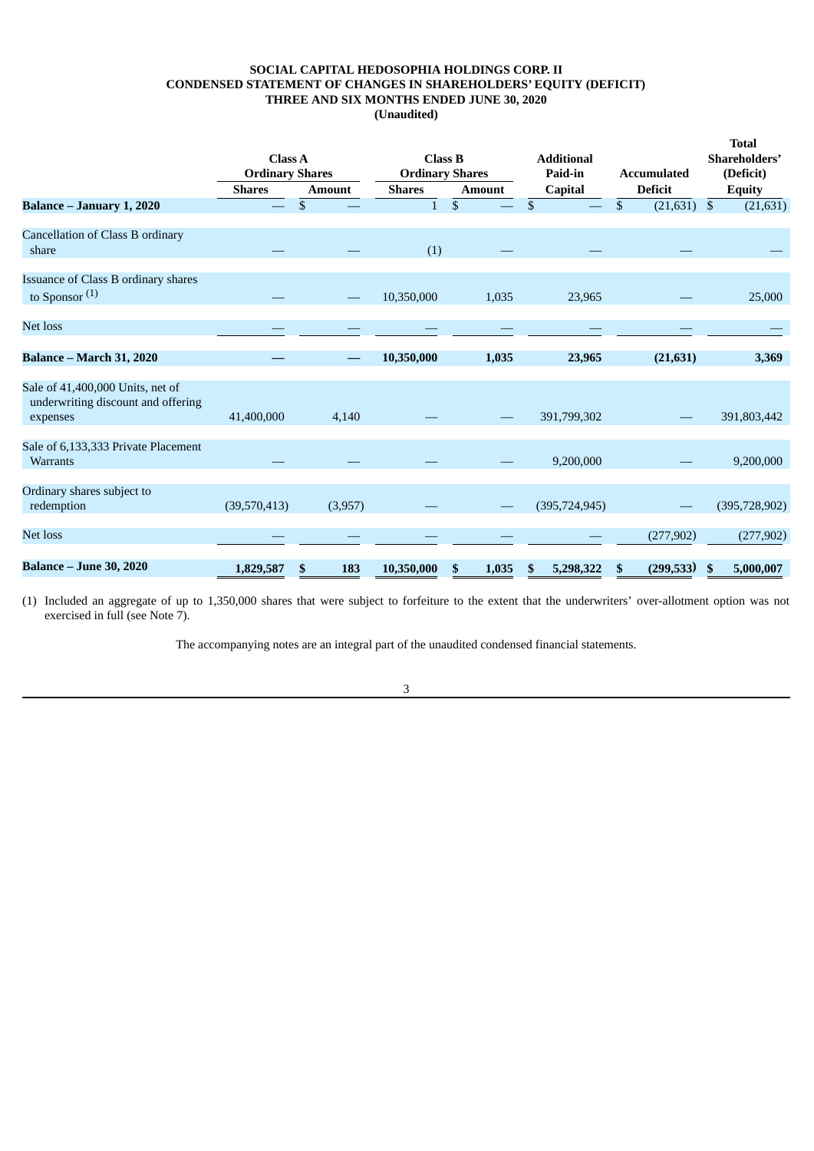## **SOCIAL CAPITAL HEDOSOPHIA HOLDINGS CORP. II CONDENSED STATEMENT OF CHANGES IN SHAREHOLDERS' EQUITY (DEFICIT) THREE AND SIX MONTHS ENDED JUNE 30, 2020 (Unaudited)**

<span id="page-4-0"></span>

|                                                                                    | <b>Class A</b><br><b>Ordinary Shares</b> |                      | <b>Class B</b><br><b>Ordinary Shares</b> |               | <b>Additional</b><br>Paid-in | <b>Accumulated</b>                      | <b>Total</b><br>Shareholders'<br>(Deficit) |
|------------------------------------------------------------------------------------|------------------------------------------|----------------------|------------------------------------------|---------------|------------------------------|-----------------------------------------|--------------------------------------------|
|                                                                                    | <b>Shares</b>                            | <b>Amount</b>        | <b>Shares</b>                            | <b>Amount</b> | <b>Capital</b>               | <b>Deficit</b>                          | <b>Equity</b>                              |
| Balance – January 1, 2020                                                          |                                          | $\$$                 | $\mathbf{1}$                             | \$            | \$                           | $$\mathbb{S}$$<br>$(21,\overline{631})$ | $\mathbb{S}$<br>(21, 631)                  |
| <b>Cancellation of Class B ordinary</b><br>share                                   |                                          |                      | (1)                                      |               |                              |                                         |                                            |
| <b>Issuance of Class B ordinary shares</b>                                         |                                          |                      |                                          |               |                              |                                         |                                            |
| to Sponsor $(1)$                                                                   |                                          |                      | 10,350,000                               | 1,035         | 23,965                       |                                         | 25,000                                     |
|                                                                                    |                                          |                      |                                          |               |                              |                                         |                                            |
| Net loss                                                                           |                                          |                      |                                          |               |                              |                                         |                                            |
|                                                                                    |                                          |                      |                                          |               |                              |                                         |                                            |
| Balance – March 31, 2020                                                           |                                          |                      | 10,350,000                               | 1,035         | 23,965                       | (21, 631)                               | 3,369                                      |
| Sale of 41,400,000 Units, net of<br>underwriting discount and offering<br>expenses | 41,400,000                               | 4,140                |                                          |               | 391,799,302                  |                                         | 391,803,442                                |
| Sale of 6,133,333 Private Placement<br><b>Warrants</b>                             |                                          |                      |                                          |               | 9,200,000                    |                                         | 9,200,000                                  |
| Ordinary shares subject to<br>redemption                                           | (39,570,413)                             | (3,957)              |                                          |               | (395, 724, 945)              |                                         | (395, 728, 902)                            |
| Net loss                                                                           |                                          |                      |                                          |               |                              | (277, 902)                              | (277,902)                                  |
|                                                                                    |                                          |                      |                                          |               |                              |                                         |                                            |
| Balance – June 30, 2020                                                            | 1,829,587                                | 183<br><sup>\$</sup> | 10,350,000                               | 1,035<br>\$   | \$<br>5,298,322              | (299, 533)<br>\$                        | 5,000,007<br>-\$                           |

(1) Included an aggregate of up to 1,350,000 shares that were subject to forfeiture to the extent that the underwriters' over-allotment option was not exercised in full (see Note 7).

The accompanying notes are an integral part of the unaudited condensed financial statements.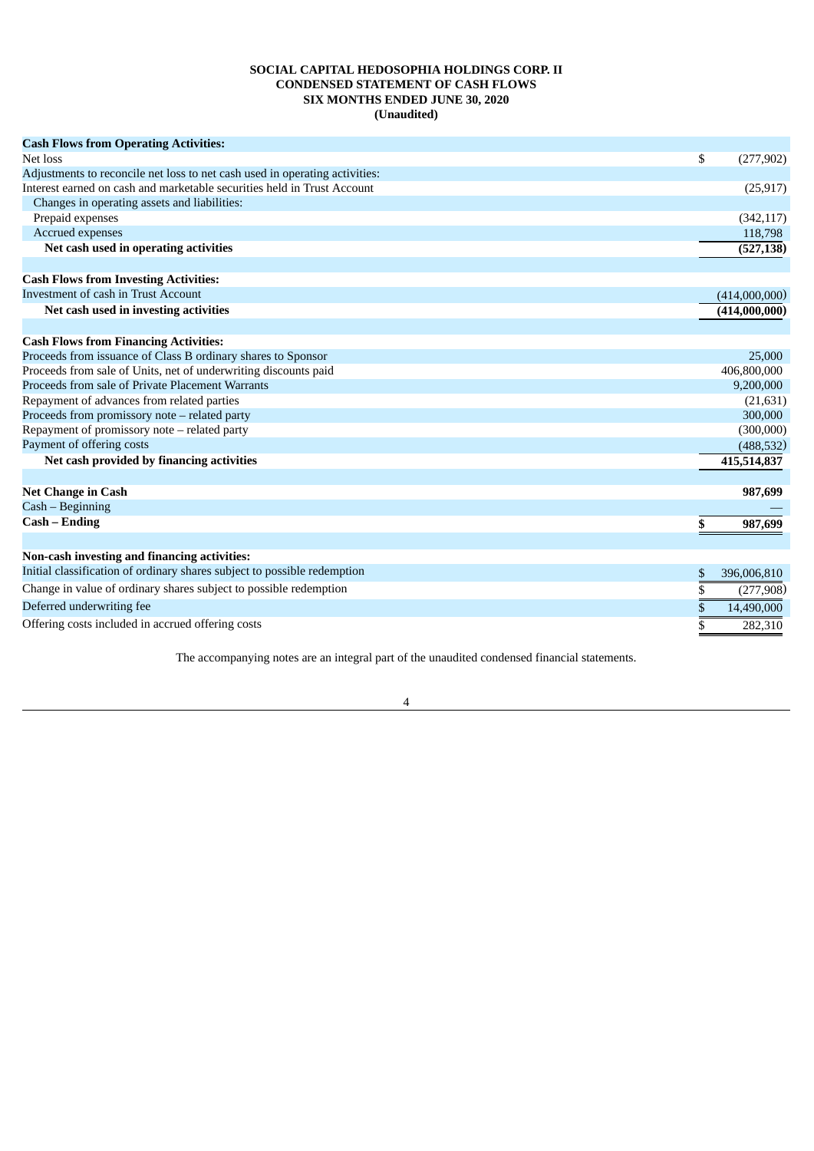## **SOCIAL CAPITAL HEDOSOPHIA HOLDINGS CORP. II CONDENSED STATEMENT OF CASH FLOWS SIX MONTHS ENDED JUNE 30, 2020 (Unaudited)**

<span id="page-5-0"></span>

| <b>Cash Flows from Operating Activities:</b>                                                                 |                   |
|--------------------------------------------------------------------------------------------------------------|-------------------|
| Net loss                                                                                                     | \$<br>(277,902)   |
| Adjustments to reconcile net loss to net cash used in operating activities:                                  |                   |
| Interest earned on cash and marketable securities held in Trust Account                                      | (25, 917)         |
| Changes in operating assets and liabilities:                                                                 |                   |
| Prepaid expenses                                                                                             | (342, 117)        |
| Accrued expenses                                                                                             | 118,798           |
| Net cash used in operating activities                                                                        | (527, 138)        |
| <b>Cash Flows from Investing Activities:</b>                                                                 |                   |
| <b>Investment of cash in Trust Account</b>                                                                   | (414,000,000)     |
| Net cash used in investing activities                                                                        | (414,000,000)     |
|                                                                                                              |                   |
| <b>Cash Flows from Financing Activities:</b><br>Proceeds from issuance of Class B ordinary shares to Sponsor | 25,000            |
| Proceeds from sale of Units, net of underwriting discounts paid                                              | 406,800,000       |
| Proceeds from sale of Private Placement Warrants                                                             | 9,200,000         |
| Repayment of advances from related parties                                                                   | (21, 631)         |
| Proceeds from promissory note - related party                                                                | 300,000           |
| Repayment of promissory note - related party                                                                 | (300,000)         |
| Payment of offering costs                                                                                    | (488, 532)        |
| Net cash provided by financing activities                                                                    | 415,514,837       |
|                                                                                                              |                   |
| <b>Net Change in Cash</b>                                                                                    | 987,699           |
| Cash - Beginning                                                                                             |                   |
| Cash – Ending                                                                                                | \$<br>987,699     |
| Non-cash investing and financing activities:                                                                 |                   |
| Initial classification of ordinary shares subject to possible redemption                                     | \$<br>396,006,810 |
| Change in value of ordinary shares subject to possible redemption                                            | \$<br>(277,908)   |
| Deferred underwriting fee                                                                                    | \$<br>14,490,000  |
| Offering costs included in accrued offering costs                                                            |                   |
|                                                                                                              | \$<br>282,310     |

The accompanying notes are an integral part of the unaudited condensed financial statements.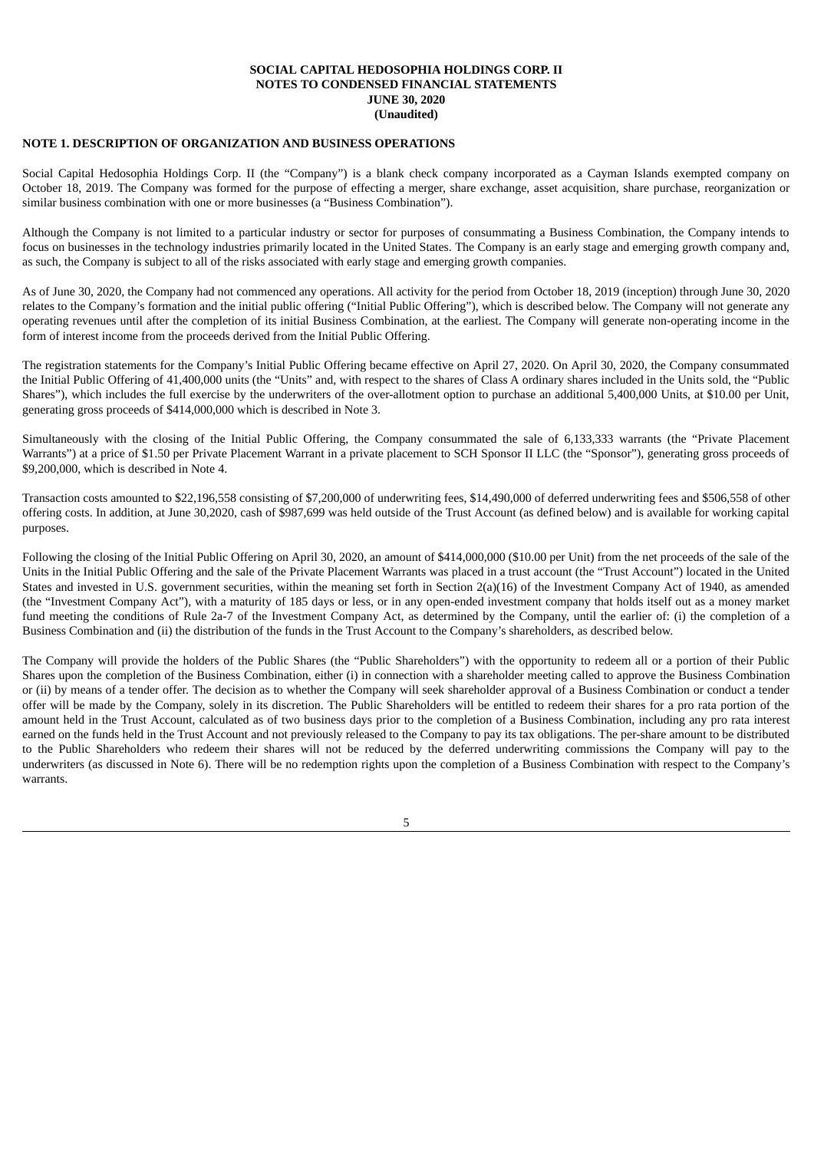## <span id="page-6-0"></span>**NOTE 1. DESCRIPTION OF ORGANIZATION AND BUSINESS OPERATIONS**

Social Capital Hedosophia Holdings Corp. II (the "Company") is a blank check company incorporated as a Cayman Islands exempted company on October 18, 2019. The Company was formed for the purpose of effecting a merger, share exchange, asset acquisition, share purchase, reorganization or similar business combination with one or more businesses (a "Business Combination").

Although the Company is not limited to a particular industry or sector for purposes of consummating a Business Combination, the Company intends to focus on businesses in the technology industries primarily located in the United States. The Company is an early stage and emerging growth company and, as such, the Company is subject to all of the risks associated with early stage and emerging growth companies.

As of June 30, 2020, the Company had not commenced any operations. All activity for the period from October 18, 2019 (inception) through June 30, 2020 relates to the Company's formation and the initial public offering ("Initial Public Offering"), which is described below. The Company will not generate any operating revenues until after the completion of its initial Business Combination, at the earliest. The Company will generate non-operating income in the form of interest income from the proceeds derived from the Initial Public Offering.

The registration statements for the Company's Initial Public Offering became effective on April 27, 2020. On April 30, 2020, the Company consummated the Initial Public Offering of 41,400,000 units (the "Units" and, with respect to the shares of Class A ordinary shares included in the Units sold, the "Public Shares"), which includes the full exercise by the underwriters of the over-allotment option to purchase an additional 5,400,000 Units, at \$10.00 per Unit, generating gross proceeds of \$414,000,000 which is described in Note 3.

Simultaneously with the closing of the Initial Public Offering, the Company consummated the sale of 6,133,333 warrants (the "Private Placement Warrants") at a price of \$1.50 per Private Placement Warrant in a private placement to SCH Sponsor II LLC (the "Sponsor"), generating gross proceeds of \$9,200,000, which is described in Note 4.

Transaction costs amounted to \$22,196,558 consisting of \$7,200,000 of underwriting fees, \$14,490,000 of deferred underwriting fees and \$506,558 of other offering costs. In addition, at June 30,2020, cash of \$987,699 was held outside of the Trust Account (as defined below) and is available for working capital purposes.

Following the closing of the Initial Public Offering on April 30, 2020, an amount of \$414,000,000 (\$10.00 per Unit) from the net proceeds of the sale of the Units in the Initial Public Offering and the sale of the Private Placement Warrants was placed in a trust account (the "Trust Account") located in the United States and invested in U.S. government securities, within the meaning set forth in Section 2(a)(16) of the Investment Company Act of 1940, as amended (the "Investment Company Act"), with a maturity of 185 days or less, or in any open-ended investment company that holds itself out as a money market fund meeting the conditions of Rule 2a-7 of the Investment Company Act, as determined by the Company, until the earlier of: (i) the completion of a Business Combination and (ii) the distribution of the funds in the Trust Account to the Company's shareholders, as described below.

The Company will provide the holders of the Public Shares (the "Public Shareholders") with the opportunity to redeem all or a portion of their Public Shares upon the completion of the Business Combination, either (i) in connection with a shareholder meeting called to approve the Business Combination or (ii) by means of a tender offer. The decision as to whether the Company will seek shareholder approval of a Business Combination or conduct a tender offer will be made by the Company, solely in its discretion. The Public Shareholders will be entitled to redeem their shares for a pro rata portion of the amount held in the Trust Account, calculated as of two business days prior to the completion of a Business Combination, including any pro rata interest earned on the funds held in the Trust Account and not previously released to the Company to pay its tax obligations. The per-share amount to be distributed to the Public Shareholders who redeem their shares will not be reduced by the deferred underwriting commissions the Company will pay to the underwriters (as discussed in Note 6). There will be no redemption rights upon the completion of a Business Combination with respect to the Company's warrants.

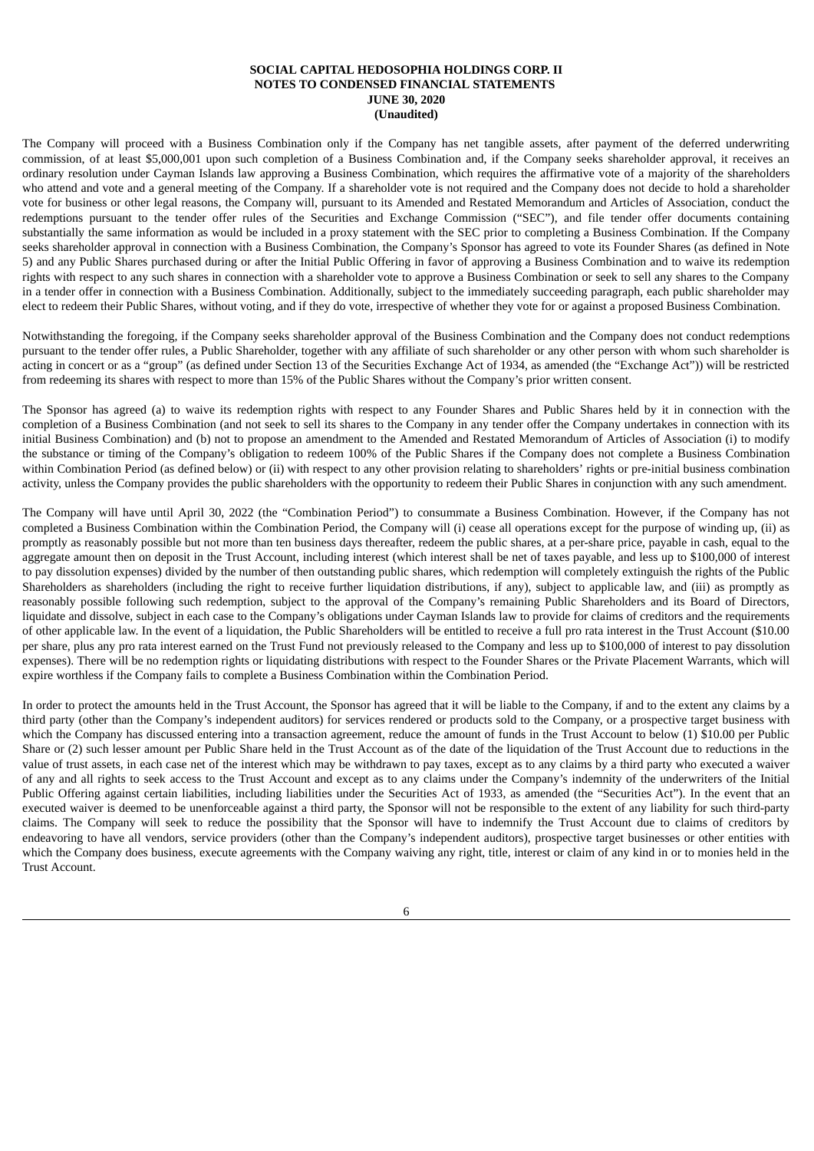The Company will proceed with a Business Combination only if the Company has net tangible assets, after payment of the deferred underwriting commission, of at least \$5,000,001 upon such completion of a Business Combination and, if the Company seeks shareholder approval, it receives an ordinary resolution under Cayman Islands law approving a Business Combination, which requires the affirmative vote of a majority of the shareholders who attend and vote and a general meeting of the Company. If a shareholder vote is not required and the Company does not decide to hold a shareholder vote for business or other legal reasons, the Company will, pursuant to its Amended and Restated Memorandum and Articles of Association, conduct the redemptions pursuant to the tender offer rules of the Securities and Exchange Commission ("SEC"), and file tender offer documents containing substantially the same information as would be included in a proxy statement with the SEC prior to completing a Business Combination. If the Company seeks shareholder approval in connection with a Business Combination, the Company's Sponsor has agreed to vote its Founder Shares (as defined in Note 5) and any Public Shares purchased during or after the Initial Public Offering in favor of approving a Business Combination and to waive its redemption rights with respect to any such shares in connection with a shareholder vote to approve a Business Combination or seek to sell any shares to the Company in a tender offer in connection with a Business Combination. Additionally, subject to the immediately succeeding paragraph, each public shareholder may elect to redeem their Public Shares, without voting, and if they do vote, irrespective of whether they vote for or against a proposed Business Combination.

Notwithstanding the foregoing, if the Company seeks shareholder approval of the Business Combination and the Company does not conduct redemptions pursuant to the tender offer rules, a Public Shareholder, together with any affiliate of such shareholder or any other person with whom such shareholder is acting in concert or as a "group" (as defined under Section 13 of the Securities Exchange Act of 1934, as amended (the "Exchange Act")) will be restricted from redeeming its shares with respect to more than 15% of the Public Shares without the Company's prior written consent.

The Sponsor has agreed (a) to waive its redemption rights with respect to any Founder Shares and Public Shares held by it in connection with the completion of a Business Combination (and not seek to sell its shares to the Company in any tender offer the Company undertakes in connection with its initial Business Combination) and (b) not to propose an amendment to the Amended and Restated Memorandum of Articles of Association (i) to modify the substance or timing of the Company's obligation to redeem 100% of the Public Shares if the Company does not complete a Business Combination within Combination Period (as defined below) or (ii) with respect to any other provision relating to shareholders' rights or pre-initial business combination activity, unless the Company provides the public shareholders with the opportunity to redeem their Public Shares in conjunction with any such amendment.

The Company will have until April 30, 2022 (the "Combination Period") to consummate a Business Combination. However, if the Company has not completed a Business Combination within the Combination Period, the Company will (i) cease all operations except for the purpose of winding up, (ii) as promptly as reasonably possible but not more than ten business days thereafter, redeem the public shares, at a per-share price, payable in cash, equal to the aggregate amount then on deposit in the Trust Account, including interest (which interest shall be net of taxes payable, and less up to \$100,000 of interest to pay dissolution expenses) divided by the number of then outstanding public shares, which redemption will completely extinguish the rights of the Public Shareholders as shareholders (including the right to receive further liquidation distributions, if any), subject to applicable law, and (iii) as promptly as reasonably possible following such redemption, subject to the approval of the Company's remaining Public Shareholders and its Board of Directors, liquidate and dissolve, subject in each case to the Company's obligations under Cayman Islands law to provide for claims of creditors and the requirements of other applicable law. In the event of a liquidation, the Public Shareholders will be entitled to receive a full pro rata interest in the Trust Account (\$10.00 per share, plus any pro rata interest earned on the Trust Fund not previously released to the Company and less up to \$100,000 of interest to pay dissolution expenses). There will be no redemption rights or liquidating distributions with respect to the Founder Shares or the Private Placement Warrants, which will expire worthless if the Company fails to complete a Business Combination within the Combination Period.

In order to protect the amounts held in the Trust Account, the Sponsor has agreed that it will be liable to the Company, if and to the extent any claims by a third party (other than the Company's independent auditors) for services rendered or products sold to the Company, or a prospective target business with which the Company has discussed entering into a transaction agreement, reduce the amount of funds in the Trust Account to below (1) \$10.00 per Public Share or (2) such lesser amount per Public Share held in the Trust Account as of the date of the liquidation of the Trust Account due to reductions in the value of trust assets, in each case net of the interest which may be withdrawn to pay taxes, except as to any claims by a third party who executed a waiver of any and all rights to seek access to the Trust Account and except as to any claims under the Company's indemnity of the underwriters of the Initial Public Offering against certain liabilities, including liabilities under the Securities Act of 1933, as amended (the "Securities Act"). In the event that an executed waiver is deemed to be unenforceable against a third party, the Sponsor will not be responsible to the extent of any liability for such third-party claims. The Company will seek to reduce the possibility that the Sponsor will have to indemnify the Trust Account due to claims of creditors by endeavoring to have all vendors, service providers (other than the Company's independent auditors), prospective target businesses or other entities with which the Company does business, execute agreements with the Company waiving any right, title, interest or claim of any kind in or to monies held in the Trust Account.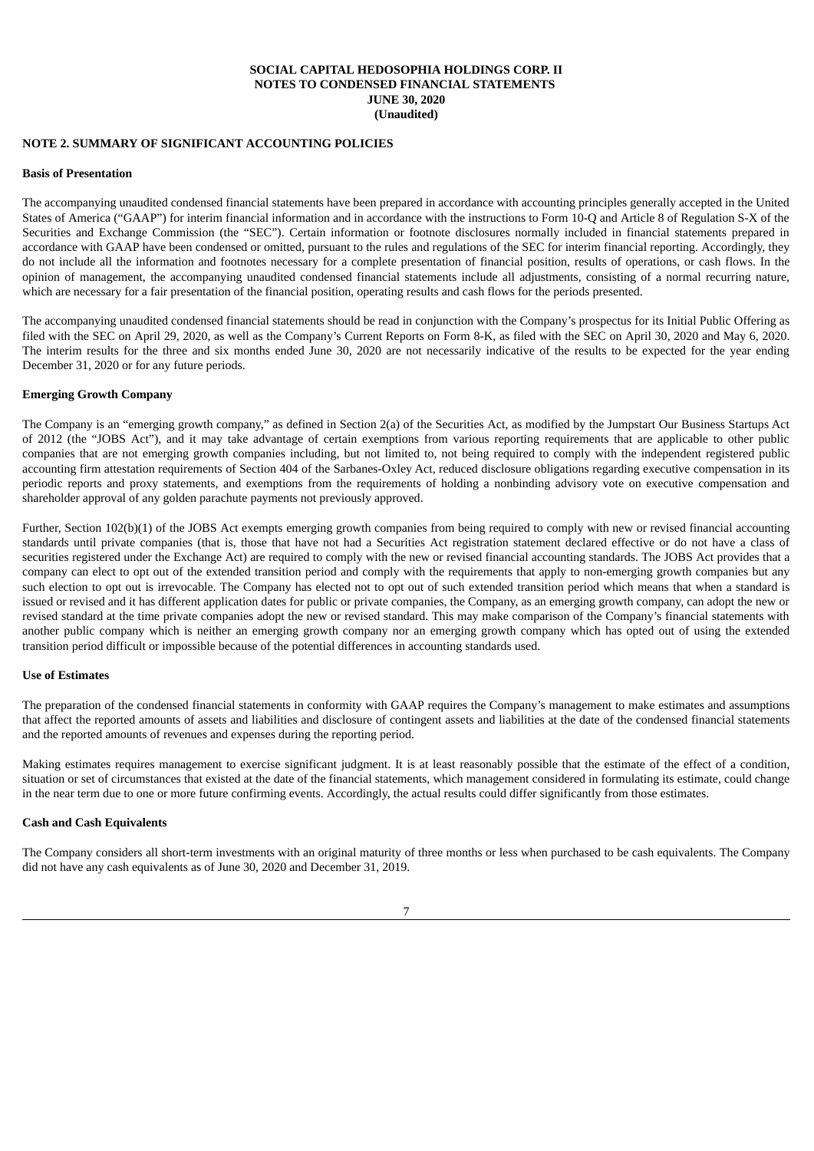## **NOTE 2. SUMMARY OF SIGNIFICANT ACCOUNTING POLICIES**

#### **Basis of Presentation**

The accompanying unaudited condensed financial statements have been prepared in accordance with accounting principles generally accepted in the United States of America ("GAAP") for interim financial information and in accordance with the instructions to Form 10-Q and Article 8 of Regulation S-X of the Securities and Exchange Commission (the "SEC"). Certain information or footnote disclosures normally included in financial statements prepared in accordance with GAAP have been condensed or omitted, pursuant to the rules and regulations of the SEC for interim financial reporting. Accordingly, they do not include all the information and footnotes necessary for a complete presentation of financial position, results of operations, or cash flows. In the opinion of management, the accompanying unaudited condensed financial statements include all adjustments, consisting of a normal recurring nature, which are necessary for a fair presentation of the financial position, operating results and cash flows for the periods presented.

The accompanying unaudited condensed financial statements should be read in conjunction with the Company's prospectus for its Initial Public Offering as filed with the SEC on April 29, 2020, as well as the Company's Current Reports on Form 8-K, as filed with the SEC on April 30, 2020 and May 6, 2020. The interim results for the three and six months ended June 30, 2020 are not necessarily indicative of the results to be expected for the year ending December 31, 2020 or for any future periods.

#### **Emerging Growth Company**

The Company is an "emerging growth company," as defined in Section 2(a) of the Securities Act, as modified by the Jumpstart Our Business Startups Act of 2012 (the "JOBS Act"), and it may take advantage of certain exemptions from various reporting requirements that are applicable to other public companies that are not emerging growth companies including, but not limited to, not being required to comply with the independent registered public accounting firm attestation requirements of Section 404 of the Sarbanes-Oxley Act, reduced disclosure obligations regarding executive compensation in its periodic reports and proxy statements, and exemptions from the requirements of holding a nonbinding advisory vote on executive compensation and shareholder approval of any golden parachute payments not previously approved.

Further, Section 102(b)(1) of the JOBS Act exempts emerging growth companies from being required to comply with new or revised financial accounting standards until private companies (that is, those that have not had a Securities Act registration statement declared effective or do not have a class of securities registered under the Exchange Act) are required to comply with the new or revised financial accounting standards. The JOBS Act provides that a company can elect to opt out of the extended transition period and comply with the requirements that apply to non-emerging growth companies but any such election to opt out is irrevocable. The Company has elected not to opt out of such extended transition period which means that when a standard is issued or revised and it has different application dates for public or private companies, the Company, as an emerging growth company, can adopt the new or revised standard at the time private companies adopt the new or revised standard. This may make comparison of the Company's financial statements with another public company which is neither an emerging growth company nor an emerging growth company which has opted out of using the extended transition period difficult or impossible because of the potential differences in accounting standards used.

## **Use of Estimates**

The preparation of the condensed financial statements in conformity with GAAP requires the Company's management to make estimates and assumptions that affect the reported amounts of assets and liabilities and disclosure of contingent assets and liabilities at the date of the condensed financial statements and the reported amounts of revenues and expenses during the reporting period.

Making estimates requires management to exercise significant judgment. It is at least reasonably possible that the estimate of the effect of a condition, situation or set of circumstances that existed at the date of the financial statements, which management considered in formulating its estimate, could change in the near term due to one or more future confirming events. Accordingly, the actual results could differ significantly from those estimates.

#### **Cash and Cash Equivalents**

The Company considers all short-term investments with an original maturity of three months or less when purchased to be cash equivalents. The Company did not have any cash equivalents as of June 30, 2020 and December 31, 2019.

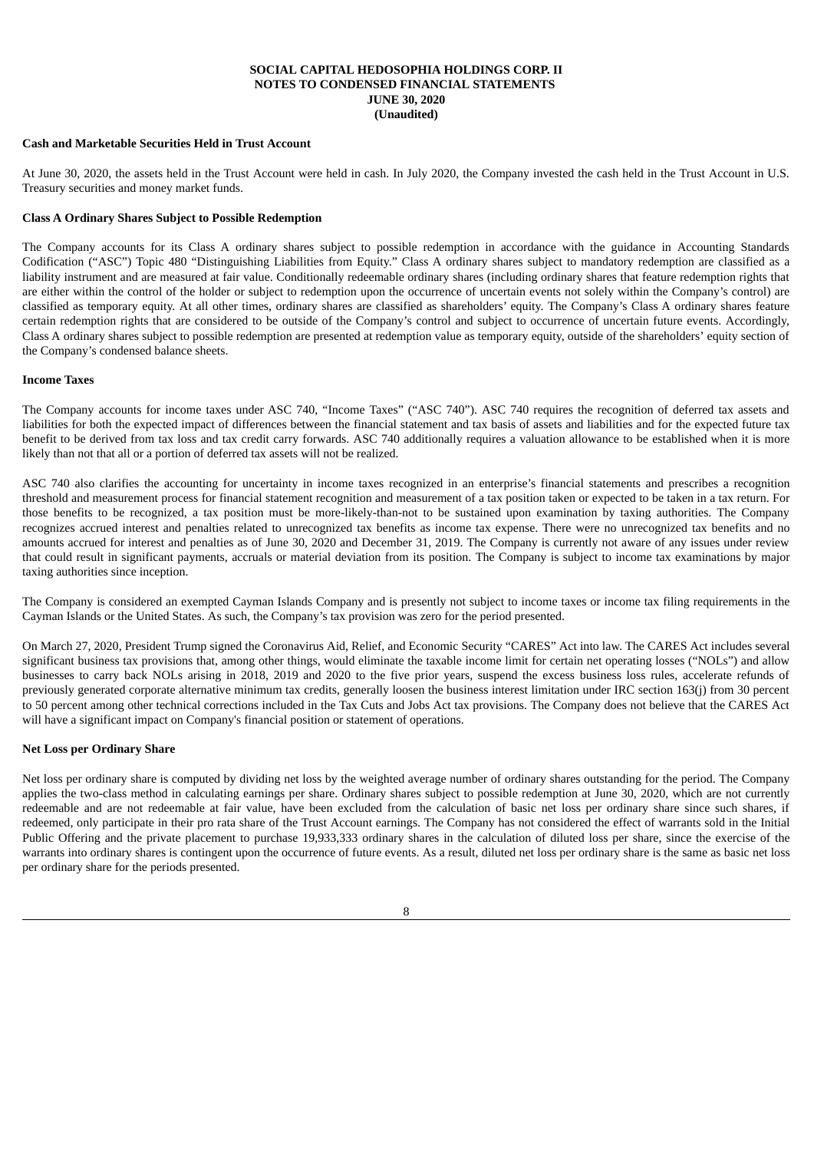## **Cash and Marketable Securities Held in Trust Account**

At June 30, 2020, the assets held in the Trust Account were held in cash. In July 2020, the Company invested the cash held in the Trust Account in U.S. Treasury securities and money market funds.

### **Class A Ordinary Shares Subject to Possible Redemption**

The Company accounts for its Class A ordinary shares subject to possible redemption in accordance with the guidance in Accounting Standards Codification ("ASC") Topic 480 "Distinguishing Liabilities from Equity." Class A ordinary shares subject to mandatory redemption are classified as a liability instrument and are measured at fair value. Conditionally redeemable ordinary shares (including ordinary shares that feature redemption rights that are either within the control of the holder or subject to redemption upon the occurrence of uncertain events not solely within the Company's control) are classified as temporary equity. At all other times, ordinary shares are classified as shareholders' equity. The Company's Class A ordinary shares feature certain redemption rights that are considered to be outside of the Company's control and subject to occurrence of uncertain future events. Accordingly, Class A ordinary shares subject to possible redemption are presented at redemption value as temporary equity, outside of the shareholders' equity section of the Company's condensed balance sheets.

## **Income Taxes**

The Company accounts for income taxes under ASC 740, "Income Taxes" ("ASC 740"). ASC 740 requires the recognition of deferred tax assets and liabilities for both the expected impact of differences between the financial statement and tax basis of assets and liabilities and for the expected future tax benefit to be derived from tax loss and tax credit carry forwards. ASC 740 additionally requires a valuation allowance to be established when it is more likely than not that all or a portion of deferred tax assets will not be realized.

ASC 740 also clarifies the accounting for uncertainty in income taxes recognized in an enterprise's financial statements and prescribes a recognition threshold and measurement process for financial statement recognition and measurement of a tax position taken or expected to be taken in a tax return. For those benefits to be recognized, a tax position must be more-likely-than-not to be sustained upon examination by taxing authorities. The Company recognizes accrued interest and penalties related to unrecognized tax benefits as income tax expense. There were no unrecognized tax benefits and no amounts accrued for interest and penalties as of June 30, 2020 and December 31, 2019. The Company is currently not aware of any issues under review that could result in significant payments, accruals or material deviation from its position. The Company is subject to income tax examinations by major taxing authorities since inception.

The Company is considered an exempted Cayman Islands Company and is presently not subject to income taxes or income tax filing requirements in the Cayman Islands or the United States. As such, the Company's tax provision was zero for the period presented.

On March 27, 2020, President Trump signed the Coronavirus Aid, Relief, and Economic Security "CARES" Act into law. The CARES Act includes several significant business tax provisions that, among other things, would eliminate the taxable income limit for certain net operating losses ("NOLs") and allow businesses to carry back NOLs arising in 2018, 2019 and 2020 to the five prior years, suspend the excess business loss rules, accelerate refunds of previously generated corporate alternative minimum tax credits, generally loosen the business interest limitation under IRC section 163(j) from 30 percent to 50 percent among other technical corrections included in the Tax Cuts and Jobs Act tax provisions. The Company does not believe that the CARES Act will have a significant impact on Company's financial position or statement of operations.

#### **Net Loss per Ordinary Share**

Net loss per ordinary share is computed by dividing net loss by the weighted average number of ordinary shares outstanding for the period. The Company applies the two-class method in calculating earnings per share. Ordinary shares subject to possible redemption at June 30, 2020, which are not currently redeemable and are not redeemable at fair value, have been excluded from the calculation of basic net loss per ordinary share since such shares, if redeemed, only participate in their pro rata share of the Trust Account earnings. The Company has not considered the effect of warrants sold in the Initial Public Offering and the private placement to purchase 19,933,333 ordinary shares in the calculation of diluted loss per share, since the exercise of the warrants into ordinary shares is contingent upon the occurrence of future events. As a result, diluted net loss per ordinary share is the same as basic net loss per ordinary share for the periods presented.

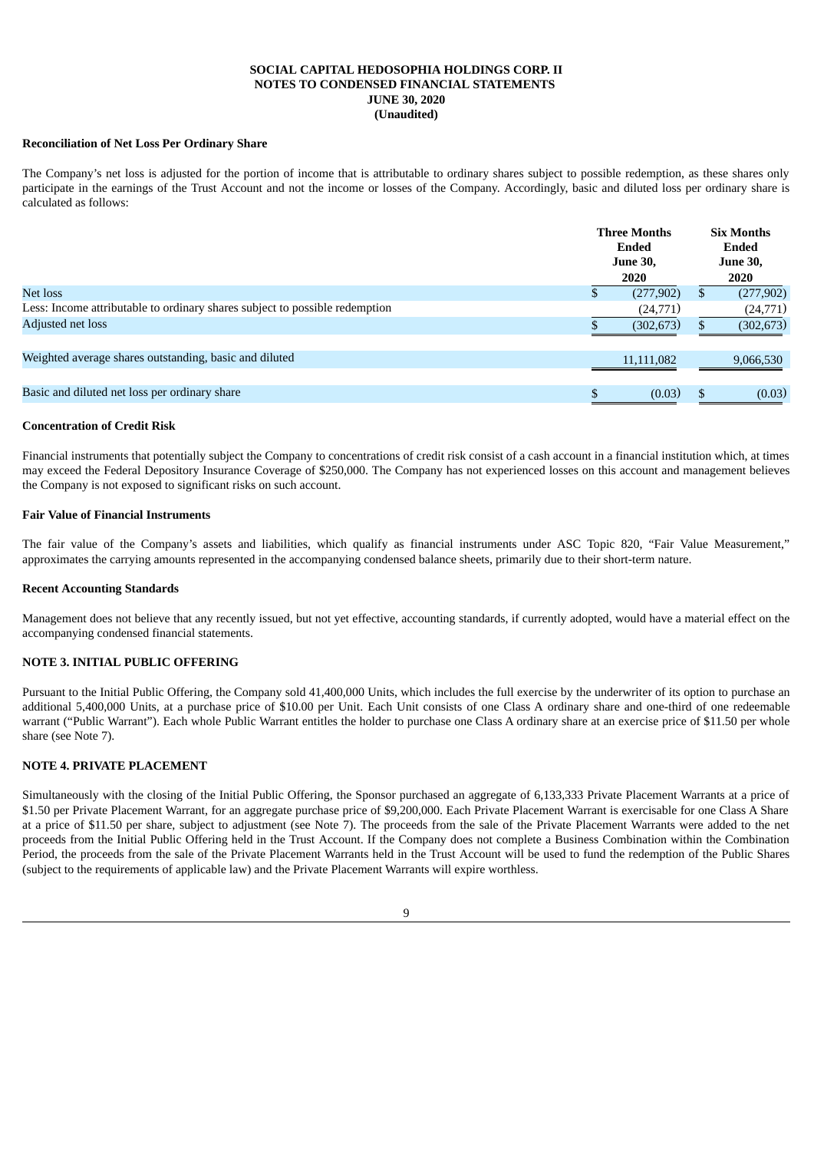#### **Reconciliation of Net Loss Per Ordinary Share**

The Company's net loss is adjusted for the portion of income that is attributable to ordinary shares subject to possible redemption, as these shares only participate in the earnings of the Trust Account and not the income or losses of the Company. Accordingly, basic and diluted loss per ordinary share is calculated as follows:

|                                                                             | <b>Three Months</b><br>Ended<br><b>June 30,</b><br>2020 |            | <b>Six Months</b><br>Ended<br><b>June 30,</b><br>2020 |            |
|-----------------------------------------------------------------------------|---------------------------------------------------------|------------|-------------------------------------------------------|------------|
| Net loss                                                                    |                                                         | (277,902)  | S.                                                    | (277, 902) |
| Less: Income attributable to ordinary shares subject to possible redemption |                                                         | (24,771)   |                                                       | (24,771)   |
| Adjusted net loss                                                           |                                                         | (302, 673) |                                                       | (302, 673) |
| Weighted average shares outstanding, basic and diluted                      |                                                         | 11,111,082 |                                                       | 9,066,530  |
| Basic and diluted net loss per ordinary share                               |                                                         | (0.03)     | \$.                                                   | (0.03)     |

#### **Concentration of Credit Risk**

Financial instruments that potentially subject the Company to concentrations of credit risk consist of a cash account in a financial institution which, at times may exceed the Federal Depository Insurance Coverage of \$250,000. The Company has not experienced losses on this account and management believes the Company is not exposed to significant risks on such account.

#### **Fair Value of Financial Instruments**

The fair value of the Company's assets and liabilities, which qualify as financial instruments under ASC Topic 820, "Fair Value Measurement," approximates the carrying amounts represented in the accompanying condensed balance sheets, primarily due to their short-term nature.

#### **Recent Accounting Standards**

Management does not believe that any recently issued, but not yet effective, accounting standards, if currently adopted, would have a material effect on the accompanying condensed financial statements.

#### **NOTE 3. INITIAL PUBLIC OFFERING**

Pursuant to the Initial Public Offering, the Company sold 41,400,000 Units, which includes the full exercise by the underwriter of its option to purchase an additional 5,400,000 Units, at a purchase price of \$10.00 per Unit. Each Unit consists of one Class A ordinary share and one-third of one redeemable warrant ("Public Warrant"). Each whole Public Warrant entitles the holder to purchase one Class A ordinary share at an exercise price of \$11.50 per whole share (see Note 7).

## **NOTE 4. PRIVATE PLACEMENT**

Simultaneously with the closing of the Initial Public Offering, the Sponsor purchased an aggregate of 6,133,333 Private Placement Warrants at a price of \$1.50 per Private Placement Warrant, for an aggregate purchase price of \$9,200,000. Each Private Placement Warrant is exercisable for one Class A Share at a price of \$11.50 per share, subject to adjustment (see Note 7). The proceeds from the sale of the Private Placement Warrants were added to the net proceeds from the Initial Public Offering held in the Trust Account. If the Company does not complete a Business Combination within the Combination Period, the proceeds from the sale of the Private Placement Warrants held in the Trust Account will be used to fund the redemption of the Public Shares (subject to the requirements of applicable law) and the Private Placement Warrants will expire worthless.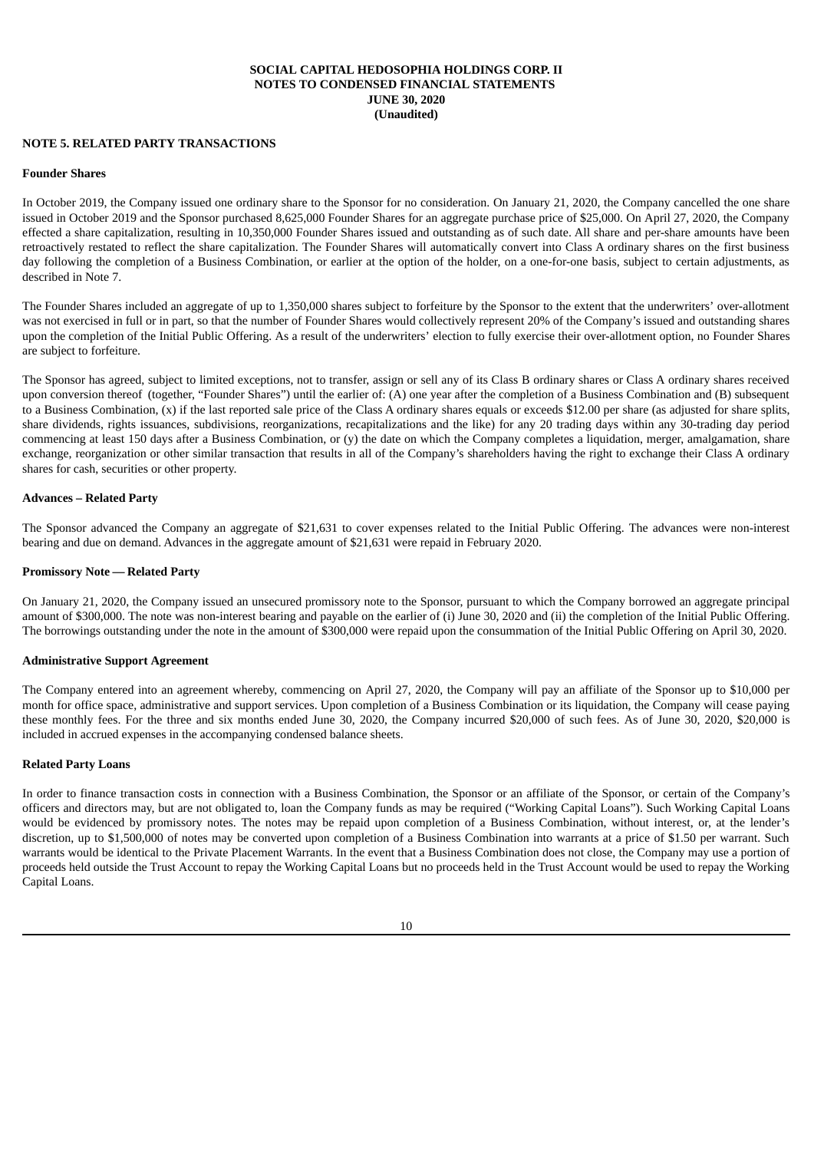## **NOTE 5. RELATED PARTY TRANSACTIONS**

#### **Founder Shares**

In October 2019, the Company issued one ordinary share to the Sponsor for no consideration. On January 21, 2020, the Company cancelled the one share issued in October 2019 and the Sponsor purchased 8,625,000 Founder Shares for an aggregate purchase price of \$25,000. On April 27, 2020, the Company effected a share capitalization, resulting in 10,350,000 Founder Shares issued and outstanding as of such date. All share and per-share amounts have been retroactively restated to reflect the share capitalization. The Founder Shares will automatically convert into Class A ordinary shares on the first business day following the completion of a Business Combination, or earlier at the option of the holder, on a one-for-one basis, subject to certain adjustments, as described in Note 7.

The Founder Shares included an aggregate of up to 1,350,000 shares subject to forfeiture by the Sponsor to the extent that the underwriters' over-allotment was not exercised in full or in part, so that the number of Founder Shares would collectively represent 20% of the Company's issued and outstanding shares upon the completion of the Initial Public Offering. As a result of the underwriters' election to fully exercise their over-allotment option, no Founder Shares are subject to forfeiture.

The Sponsor has agreed, subject to limited exceptions, not to transfer, assign or sell any of its Class B ordinary shares or Class A ordinary shares received upon conversion thereof (together, "Founder Shares") until the earlier of: (A) one year after the completion of a Business Combination and (B) subsequent to a Business Combination, (x) if the last reported sale price of the Class A ordinary shares equals or exceeds \$12.00 per share (as adjusted for share splits, share dividends, rights issuances, subdivisions, reorganizations, recapitalizations and the like) for any 20 trading days within any 30-trading day period commencing at least 150 days after a Business Combination, or (y) the date on which the Company completes a liquidation, merger, amalgamation, share exchange, reorganization or other similar transaction that results in all of the Company's shareholders having the right to exchange their Class A ordinary shares for cash, securities or other property.

#### **Advances – Related Party**

The Sponsor advanced the Company an aggregate of \$21,631 to cover expenses related to the Initial Public Offering. The advances were non-interest bearing and due on demand. Advances in the aggregate amount of \$21,631 were repaid in February 2020.

#### **Promissory Note — Related Party**

On January 21, 2020, the Company issued an unsecured promissory note to the Sponsor, pursuant to which the Company borrowed an aggregate principal amount of \$300,000. The note was non-interest bearing and payable on the earlier of (i) June 30, 2020 and (ii) the completion of the Initial Public Offering. The borrowings outstanding under the note in the amount of \$300,000 were repaid upon the consummation of the Initial Public Offering on April 30, 2020.

## **Administrative Support Agreement**

The Company entered into an agreement whereby, commencing on April 27, 2020, the Company will pay an affiliate of the Sponsor up to \$10,000 per month for office space, administrative and support services. Upon completion of a Business Combination or its liquidation, the Company will cease paying these monthly fees. For the three and six months ended June 30, 2020, the Company incurred \$20,000 of such fees. As of June 30, 2020, \$20,000 is included in accrued expenses in the accompanying condensed balance sheets.

#### **Related Party Loans**

In order to finance transaction costs in connection with a Business Combination, the Sponsor or an affiliate of the Sponsor, or certain of the Company's officers and directors may, but are not obligated to, loan the Company funds as may be required ("Working Capital Loans"). Such Working Capital Loans would be evidenced by promissory notes. The notes may be repaid upon completion of a Business Combination, without interest, or, at the lender's discretion, up to \$1,500,000 of notes may be converted upon completion of a Business Combination into warrants at a price of \$1.50 per warrant. Such warrants would be identical to the Private Placement Warrants. In the event that a Business Combination does not close, the Company may use a portion of proceeds held outside the Trust Account to repay the Working Capital Loans but no proceeds held in the Trust Account would be used to repay the Working Capital Loans.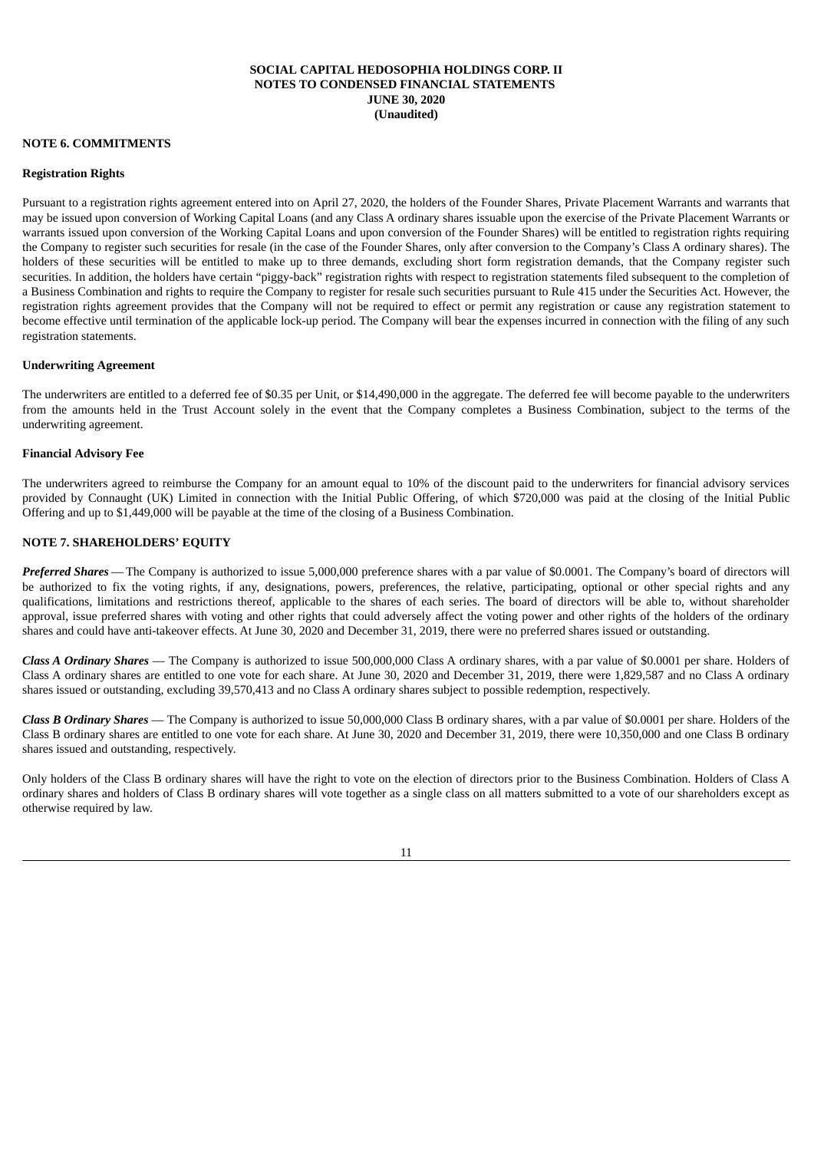## **NOTE 6. COMMITMENTS**

#### **Registration Rights**

Pursuant to a registration rights agreement entered into on April 27, 2020, the holders of the Founder Shares, Private Placement Warrants and warrants that may be issued upon conversion of Working Capital Loans (and any Class A ordinary shares issuable upon the exercise of the Private Placement Warrants or warrants issued upon conversion of the Working Capital Loans and upon conversion of the Founder Shares) will be entitled to registration rights requiring the Company to register such securities for resale (in the case of the Founder Shares, only after conversion to the Company's Class A ordinary shares). The holders of these securities will be entitled to make up to three demands, excluding short form registration demands, that the Company register such securities. In addition, the holders have certain "piggy-back" registration rights with respect to registration statements filed subsequent to the completion of a Business Combination and rights to require the Company to register for resale such securities pursuant to Rule 415 under the Securities Act. However, the registration rights agreement provides that the Company will not be required to effect or permit any registration or cause any registration statement to become effective until termination of the applicable lock-up period. The Company will bear the expenses incurred in connection with the filing of any such registration statements.

#### **Underwriting Agreement**

The underwriters are entitled to a deferred fee of \$0.35 per Unit, or \$14,490,000 in the aggregate. The deferred fee will become payable to the underwriters from the amounts held in the Trust Account solely in the event that the Company completes a Business Combination, subject to the terms of the underwriting agreement.

### **Financial Advisory Fee**

The underwriters agreed to reimburse the Company for an amount equal to 10% of the discount paid to the underwriters for financial advisory services provided by Connaught (UK) Limited in connection with the Initial Public Offering, of which \$720,000 was paid at the closing of the Initial Public Offering and up to \$1,449,000 will be payable at the time of the closing of a Business Combination.

## **NOTE 7. SHAREHOLDERS' EQUITY**

*Preferred Shares* — The Company is authorized to issue 5,000,000 preference shares with a par value of \$0.0001. The Company's board of directors will be authorized to fix the voting rights, if any, designations, powers, preferences, the relative, participating, optional or other special rights and any qualifications, limitations and restrictions thereof, applicable to the shares of each series. The board of directors will be able to, without shareholder approval, issue preferred shares with voting and other rights that could adversely affect the voting power and other rights of the holders of the ordinary shares and could have anti-takeover effects. At June 30, 2020 and December 31, 2019, there were no preferred shares issued or outstanding.

*Class A Ordinary Shares* — The Company is authorized to issue 500,000,000 Class A ordinary shares, with a par value of \$0.0001 per share. Holders of Class A ordinary shares are entitled to one vote for each share. At June 30, 2020 and December 31, 2019, there were 1,829,587 and no Class A ordinary shares issued or outstanding, excluding 39,570,413 and no Class A ordinary shares subject to possible redemption, respectively.

*Class B Ordinary Shares* — The Company is authorized to issue 50,000,000 Class B ordinary shares, with a par value of \$0.0001 per share. Holders of the Class B ordinary shares are entitled to one vote for each share. At June 30, 2020 and December 31, 2019, there were 10,350,000 and one Class B ordinary shares issued and outstanding, respectively.

Only holders of the Class B ordinary shares will have the right to vote on the election of directors prior to the Business Combination. Holders of Class A ordinary shares and holders of Class B ordinary shares will vote together as a single class on all matters submitted to a vote of our shareholders except as otherwise required by law.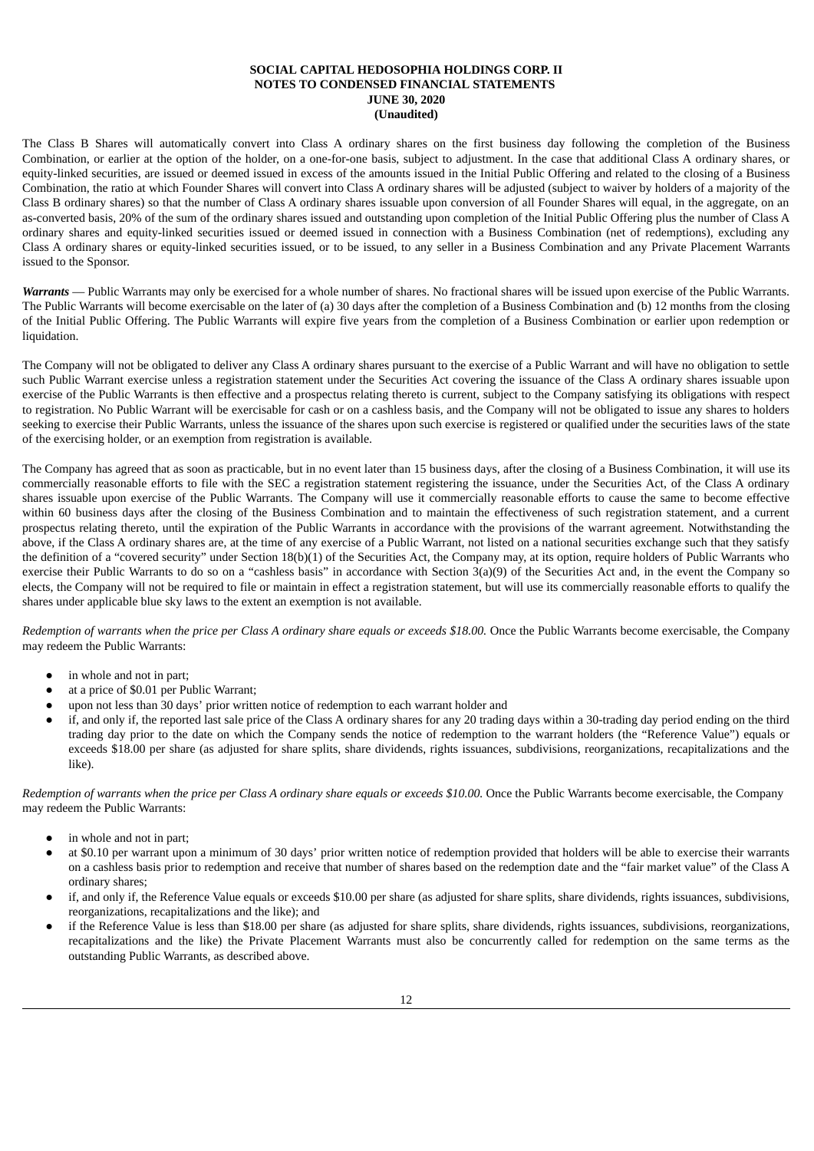The Class B Shares will automatically convert into Class A ordinary shares on the first business day following the completion of the Business Combination, or earlier at the option of the holder, on a one-for-one basis, subject to adjustment. In the case that additional Class A ordinary shares, or equity-linked securities, are issued or deemed issued in excess of the amounts issued in the Initial Public Offering and related to the closing of a Business Combination, the ratio at which Founder Shares will convert into Class A ordinary shares will be adjusted (subject to waiver by holders of a majority of the Class B ordinary shares) so that the number of Class A ordinary shares issuable upon conversion of all Founder Shares will equal, in the aggregate, on an as-converted basis, 20% of the sum of the ordinary shares issued and outstanding upon completion of the Initial Public Offering plus the number of Class A ordinary shares and equity-linked securities issued or deemed issued in connection with a Business Combination (net of redemptions), excluding any Class A ordinary shares or equity-linked securities issued, or to be issued, to any seller in a Business Combination and any Private Placement Warrants issued to the Sponsor.

*Warrants* — Public Warrants may only be exercised for a whole number of shares. No fractional shares will be issued upon exercise of the Public Warrants. The Public Warrants will become exercisable on the later of (a) 30 days after the completion of a Business Combination and (b) 12 months from the closing of the Initial Public Offering. The Public Warrants will expire five years from the completion of a Business Combination or earlier upon redemption or liquidation.

The Company will not be obligated to deliver any Class A ordinary shares pursuant to the exercise of a Public Warrant and will have no obligation to settle such Public Warrant exercise unless a registration statement under the Securities Act covering the issuance of the Class A ordinary shares issuable upon exercise of the Public Warrants is then effective and a prospectus relating thereto is current, subject to the Company satisfying its obligations with respect to registration. No Public Warrant will be exercisable for cash or on a cashless basis, and the Company will not be obligated to issue any shares to holders seeking to exercise their Public Warrants, unless the issuance of the shares upon such exercise is registered or qualified under the securities laws of the state of the exercising holder, or an exemption from registration is available.

The Company has agreed that as soon as practicable, but in no event later than 15 business days, after the closing of a Business Combination, it will use its commercially reasonable efforts to file with the SEC a registration statement registering the issuance, under the Securities Act, of the Class A ordinary shares issuable upon exercise of the Public Warrants. The Company will use it commercially reasonable efforts to cause the same to become effective within 60 business days after the closing of the Business Combination and to maintain the effectiveness of such registration statement, and a current prospectus relating thereto, until the expiration of the Public Warrants in accordance with the provisions of the warrant agreement. Notwithstanding the above, if the Class A ordinary shares are, at the time of any exercise of a Public Warrant, not listed on a national securities exchange such that they satisfy the definition of a "covered security" under Section 18(b)(1) of the Securities Act, the Company may, at its option, require holders of Public Warrants who exercise their Public Warrants to do so on a "cashless basis" in accordance with Section 3(a)(9) of the Securities Act and, in the event the Company so elects, the Company will not be required to file or maintain in effect a registration statement, but will use its commercially reasonable efforts to qualify the shares under applicable blue sky laws to the extent an exemption is not available.

Redemption of warrants when the price per Class A ordinary share equals or exceeds \$18.00. Once the Public Warrants become exercisable, the Company may redeem the Public Warrants:

- in whole and not in part;
- at a price of \$0.01 per Public Warrant;
- upon not less than 30 days' prior written notice of redemption to each warrant holder and
- if, and only if, the reported last sale price of the Class A ordinary shares for any 20 trading days within a 30-trading day period ending on the third trading day prior to the date on which the Company sends the notice of redemption to the warrant holders (the "Reference Value") equals or exceeds \$18.00 per share (as adjusted for share splits, share dividends, rights issuances, subdivisions, reorganizations, recapitalizations and the like).

Redemption of warrants when the price per Class A ordinary share equals or exceeds \$10.00. Once the Public Warrants become exercisable, the Company may redeem the Public Warrants:

- in whole and not in part;
- at \$0.10 per warrant upon a minimum of 30 days' prior written notice of redemption provided that holders will be able to exercise their warrants on a cashless basis prior to redemption and receive that number of shares based on the redemption date and the "fair market value" of the Class A ordinary shares;
- if, and only if, the Reference Value equals or exceeds \$10.00 per share (as adjusted for share splits, share dividends, rights issuances, subdivisions, reorganizations, recapitalizations and the like); and
- if the Reference Value is less than \$18.00 per share (as adjusted for share splits, share dividends, rights issuances, subdivisions, reorganizations, recapitalizations and the like) the Private Placement Warrants must also be concurrently called for redemption on the same terms as the outstanding Public Warrants, as described above.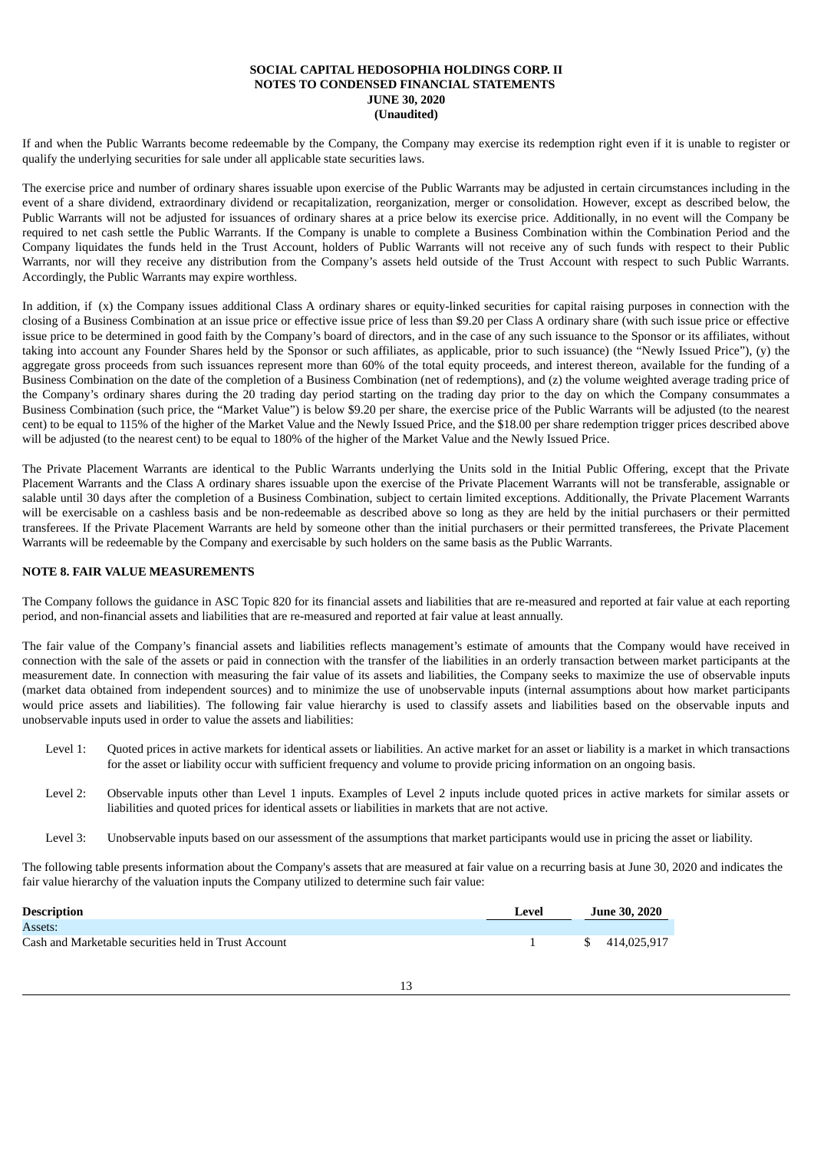If and when the Public Warrants become redeemable by the Company, the Company may exercise its redemption right even if it is unable to register or qualify the underlying securities for sale under all applicable state securities laws.

The exercise price and number of ordinary shares issuable upon exercise of the Public Warrants may be adjusted in certain circumstances including in the event of a share dividend, extraordinary dividend or recapitalization, reorganization, merger or consolidation. However, except as described below, the Public Warrants will not be adjusted for issuances of ordinary shares at a price below its exercise price. Additionally, in no event will the Company be required to net cash settle the Public Warrants. If the Company is unable to complete a Business Combination within the Combination Period and the Company liquidates the funds held in the Trust Account, holders of Public Warrants will not receive any of such funds with respect to their Public Warrants, nor will they receive any distribution from the Company's assets held outside of the Trust Account with respect to such Public Warrants. Accordingly, the Public Warrants may expire worthless.

In addition, if (x) the Company issues additional Class A ordinary shares or equity-linked securities for capital raising purposes in connection with the closing of a Business Combination at an issue price or effective issue price of less than \$9.20 per Class A ordinary share (with such issue price or effective issue price to be determined in good faith by the Company's board of directors, and in the case of any such issuance to the Sponsor or its affiliates, without taking into account any Founder Shares held by the Sponsor or such affiliates, as applicable, prior to such issuance) (the "Newly Issued Price"), (y) the aggregate gross proceeds from such issuances represent more than 60% of the total equity proceeds, and interest thereon, available for the funding of a Business Combination on the date of the completion of a Business Combination (net of redemptions), and (z) the volume weighted average trading price of the Company's ordinary shares during the 20 trading day period starting on the trading day prior to the day on which the Company consummates a Business Combination (such price, the "Market Value") is below \$9.20 per share, the exercise price of the Public Warrants will be adjusted (to the nearest cent) to be equal to 115% of the higher of the Market Value and the Newly Issued Price, and the \$18.00 per share redemption trigger prices described above will be adjusted (to the nearest cent) to be equal to 180% of the higher of the Market Value and the Newly Issued Price.

The Private Placement Warrants are identical to the Public Warrants underlying the Units sold in the Initial Public Offering, except that the Private Placement Warrants and the Class A ordinary shares issuable upon the exercise of the Private Placement Warrants will not be transferable, assignable or salable until 30 days after the completion of a Business Combination, subject to certain limited exceptions. Additionally, the Private Placement Warrants will be exercisable on a cashless basis and be non-redeemable as described above so long as they are held by the initial purchasers or their permitted transferees. If the Private Placement Warrants are held by someone other than the initial purchasers or their permitted transferees, the Private Placement Warrants will be redeemable by the Company and exercisable by such holders on the same basis as the Public Warrants.

### **NOTE 8. FAIR VALUE MEASUREMENTS**

The Company follows the guidance in ASC Topic 820 for its financial assets and liabilities that are re-measured and reported at fair value at each reporting period, and non-financial assets and liabilities that are re-measured and reported at fair value at least annually.

The fair value of the Company's financial assets and liabilities reflects management's estimate of amounts that the Company would have received in connection with the sale of the assets or paid in connection with the transfer of the liabilities in an orderly transaction between market participants at the measurement date. In connection with measuring the fair value of its assets and liabilities, the Company seeks to maximize the use of observable inputs (market data obtained from independent sources) and to minimize the use of unobservable inputs (internal assumptions about how market participants would price assets and liabilities). The following fair value hierarchy is used to classify assets and liabilities based on the observable inputs and unobservable inputs used in order to value the assets and liabilities:

- Level 1: Ouoted prices in active markets for identical assets or liabilities. An active market for an asset or liability is a market in which transactions for the asset or liability occur with sufficient frequency and volume to provide pricing information on an ongoing basis.
- Level 2: Observable inputs other than Level 1 inputs. Examples of Level 2 inputs include quoted prices in active markets for similar assets or liabilities and quoted prices for identical assets or liabilities in markets that are not active.
- Level 3: Unobservable inputs based on our assessment of the assumptions that market participants would use in pricing the asset or liability.

The following table presents information about the Company's assets that are measured at fair value on a recurring basis at June 30, 2020 and indicates the fair value hierarchy of the valuation inputs the Company utilized to determine such fair value:

| Description                                          | Level | <b>June 30, 2020</b> |
|------------------------------------------------------|-------|----------------------|
| Assets:                                              |       |                      |
| Cash and Marketable securities held in Trust Account |       | 414,025,917<br>S.    |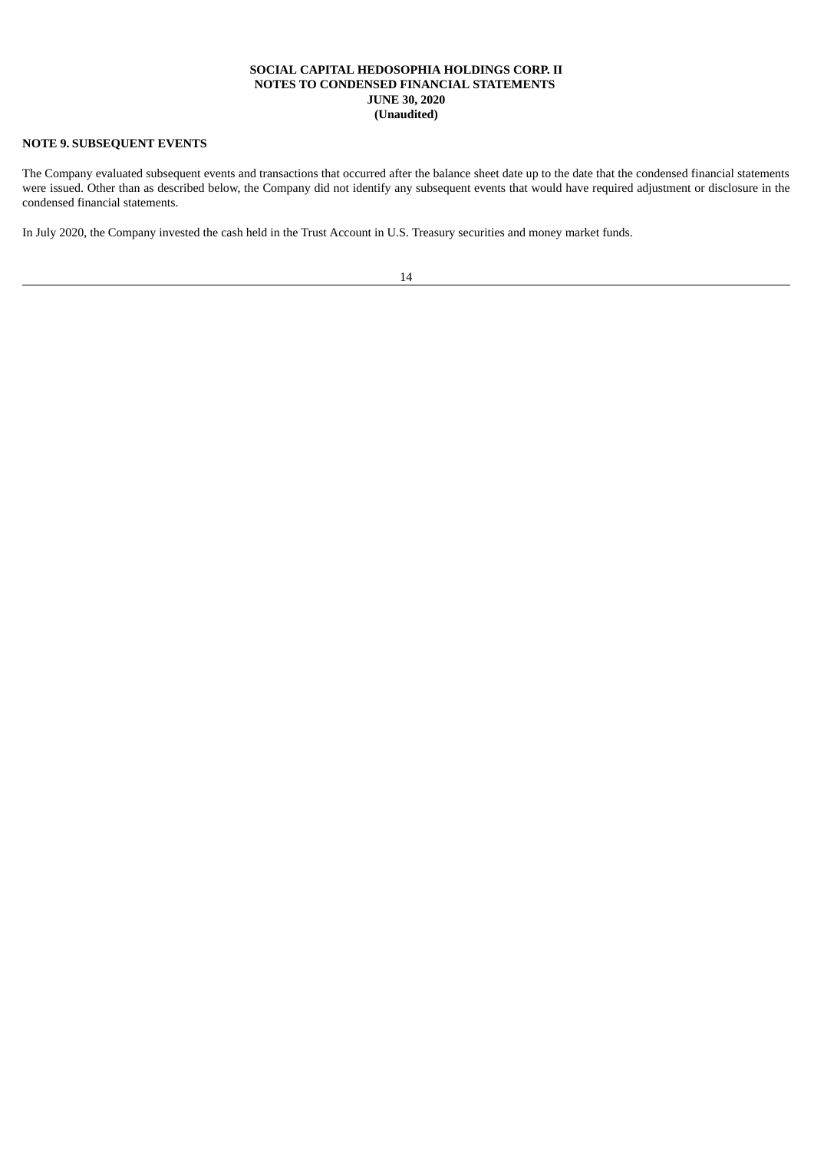## **NOTE 9. SUBSEQUENT EVENTS**

The Company evaluated subsequent events and transactions that occurred after the balance sheet date up to the date that the condensed financial statements were issued. Other than as described below, the Company did not identify any subsequent events that would have required adjustment or disclosure in the condensed financial statements.

In July 2020, the Company invested the cash held in the Trust Account in U.S. Treasury securities and money market funds.

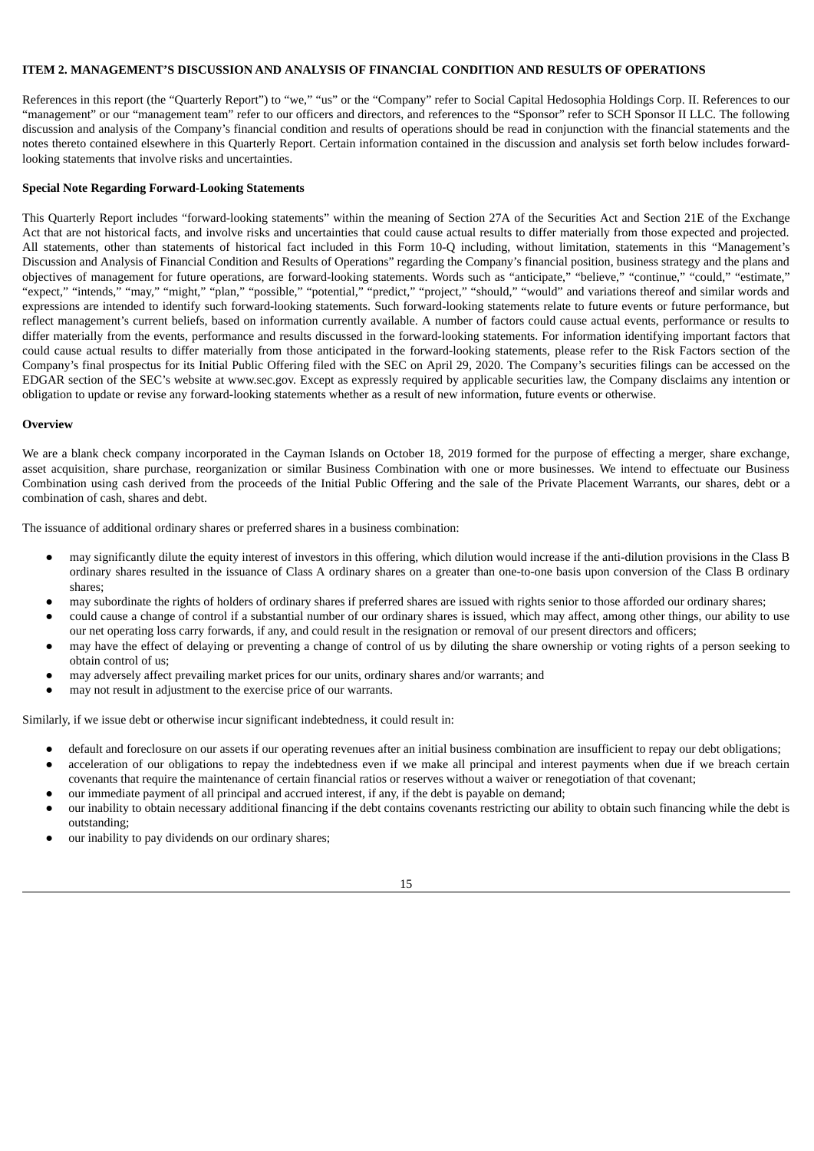## <span id="page-16-0"></span>**ITEM 2. MANAGEMENT'S DISCUSSION AND ANALYSIS OF FINANCIAL CONDITION AND RESULTS OF OPERATIONS**

References in this report (the "Quarterly Report") to "we," "us" or the "Company" refer to Social Capital Hedosophia Holdings Corp. II. References to our "management" or our "management team" refer to our officers and directors, and references to the "Sponsor" refer to SCH Sponsor II LLC. The following discussion and analysis of the Company's financial condition and results of operations should be read in conjunction with the financial statements and the notes thereto contained elsewhere in this Quarterly Report. Certain information contained in the discussion and analysis set forth below includes forwardlooking statements that involve risks and uncertainties.

### **Special Note Regarding Forward-Looking Statements**

This Quarterly Report includes "forward-looking statements" within the meaning of Section 27A of the Securities Act and Section 21E of the Exchange Act that are not historical facts, and involve risks and uncertainties that could cause actual results to differ materially from those expected and projected. All statements, other than statements of historical fact included in this Form 10-Q including, without limitation, statements in this "Management's Discussion and Analysis of Financial Condition and Results of Operations" regarding the Company's financial position, business strategy and the plans and objectives of management for future operations, are forward-looking statements. Words such as "anticipate," "believe," "continue," "could," "estimate," "expect," "intends," "may," "might," "plan," "possible," "potential," "predict," "project," "should," "would" and variations thereof and similar words and expressions are intended to identify such forward-looking statements. Such forward-looking statements relate to future events or future performance, but reflect management's current beliefs, based on information currently available. A number of factors could cause actual events, performance or results to differ materially from the events, performance and results discussed in the forward-looking statements. For information identifying important factors that could cause actual results to differ materially from those anticipated in the forward-looking statements, please refer to the Risk Factors section of the Company's final prospectus for its Initial Public Offering filed with the SEC on April 29, 2020. The Company's securities filings can be accessed on the EDGAR section of the SEC's website at www.sec.gov. Except as expressly required by applicable securities law, the Company disclaims any intention or obligation to update or revise any forward-looking statements whether as a result of new information, future events or otherwise.

#### **Overview**

We are a blank check company incorporated in the Cayman Islands on October 18, 2019 formed for the purpose of effecting a merger, share exchange, asset acquisition, share purchase, reorganization or similar Business Combination with one or more businesses. We intend to effectuate our Business Combination using cash derived from the proceeds of the Initial Public Offering and the sale of the Private Placement Warrants, our shares, debt or a combination of cash, shares and debt.

The issuance of additional ordinary shares or preferred shares in a business combination:

- may significantly dilute the equity interest of investors in this offering, which dilution would increase if the anti-dilution provisions in the Class B ordinary shares resulted in the issuance of Class A ordinary shares on a greater than one-to-one basis upon conversion of the Class B ordinary shares;
- may subordinate the rights of holders of ordinary shares if preferred shares are issued with rights senior to those afforded our ordinary shares;
- could cause a change of control if a substantial number of our ordinary shares is issued, which may affect, among other things, our ability to use our net operating loss carry forwards, if any, and could result in the resignation or removal of our present directors and officers;
- may have the effect of delaying or preventing a change of control of us by diluting the share ownership or voting rights of a person seeking to obtain control of us;
- may adversely affect prevailing market prices for our units, ordinary shares and/or warrants; and
- may not result in adjustment to the exercise price of our warrants.

Similarly, if we issue debt or otherwise incur significant indebtedness, it could result in:

- default and foreclosure on our assets if our operating revenues after an initial business combination are insufficient to repay our debt obligations;
- acceleration of our obligations to repay the indebtedness even if we make all principal and interest payments when due if we breach certain covenants that require the maintenance of certain financial ratios or reserves without a waiver or renegotiation of that covenant;
- our immediate payment of all principal and accrued interest, if any, if the debt is payable on demand;
- our inability to obtain necessary additional financing if the debt contains covenants restricting our ability to obtain such financing while the debt is outstanding;
- our inability to pay dividends on our ordinary shares;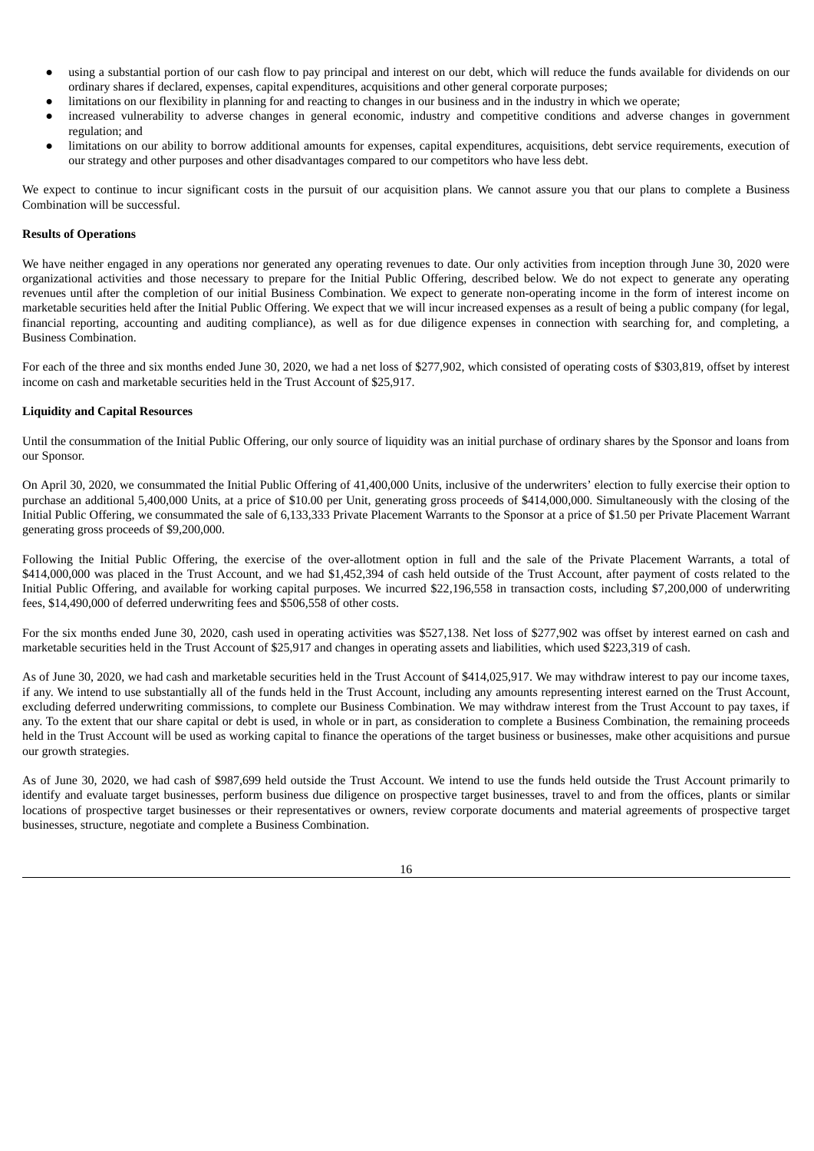- using a substantial portion of our cash flow to pay principal and interest on our debt, which will reduce the funds available for dividends on our ordinary shares if declared, expenses, capital expenditures, acquisitions and other general corporate purposes;
- limitations on our flexibility in planning for and reacting to changes in our business and in the industry in which we operate;
- increased vulnerability to adverse changes in general economic, industry and competitive conditions and adverse changes in government regulation; and
- limitations on our ability to borrow additional amounts for expenses, capital expenditures, acquisitions, debt service requirements, execution of our strategy and other purposes and other disadvantages compared to our competitors who have less debt.

We expect to continue to incur significant costs in the pursuit of our acquisition plans. We cannot assure you that our plans to complete a Business Combination will be successful.

#### **Results of Operations**

We have neither engaged in any operations nor generated any operating revenues to date. Our only activities from inception through June 30, 2020 were organizational activities and those necessary to prepare for the Initial Public Offering, described below. We do not expect to generate any operating revenues until after the completion of our initial Business Combination. We expect to generate non-operating income in the form of interest income on marketable securities held after the Initial Public Offering. We expect that we will incur increased expenses as a result of being a public company (for legal, financial reporting, accounting and auditing compliance), as well as for due diligence expenses in connection with searching for, and completing, a Business Combination.

For each of the three and six months ended June 30, 2020, we had a net loss of \$277,902, which consisted of operating costs of \$303,819, offset by interest income on cash and marketable securities held in the Trust Account of \$25,917.

### **Liquidity and Capital Resources**

Until the consummation of the Initial Public Offering, our only source of liquidity was an initial purchase of ordinary shares by the Sponsor and loans from our Sponsor.

On April 30, 2020, we consummated the Initial Public Offering of 41,400,000 Units, inclusive of the underwriters' election to fully exercise their option to purchase an additional 5,400,000 Units, at a price of \$10.00 per Unit, generating gross proceeds of \$414,000,000. Simultaneously with the closing of the Initial Public Offering, we consummated the sale of 6,133,333 Private Placement Warrants to the Sponsor at a price of \$1.50 per Private Placement Warrant generating gross proceeds of \$9,200,000.

Following the Initial Public Offering, the exercise of the over-allotment option in full and the sale of the Private Placement Warrants, a total of \$414,000,000 was placed in the Trust Account, and we had \$1,452,394 of cash held outside of the Trust Account, after payment of costs related to the Initial Public Offering, and available for working capital purposes. We incurred \$22,196,558 in transaction costs, including \$7,200,000 of underwriting fees, \$14,490,000 of deferred underwriting fees and \$506,558 of other costs.

For the six months ended June 30, 2020, cash used in operating activities was \$527,138. Net loss of \$277,902 was offset by interest earned on cash and marketable securities held in the Trust Account of \$25,917 and changes in operating assets and liabilities, which used \$223,319 of cash.

As of June 30, 2020, we had cash and marketable securities held in the Trust Account of \$414,025,917. We may withdraw interest to pay our income taxes, if any. We intend to use substantially all of the funds held in the Trust Account, including any amounts representing interest earned on the Trust Account, excluding deferred underwriting commissions, to complete our Business Combination. We may withdraw interest from the Trust Account to pay taxes, if any. To the extent that our share capital or debt is used, in whole or in part, as consideration to complete a Business Combination, the remaining proceeds held in the Trust Account will be used as working capital to finance the operations of the target business or businesses, make other acquisitions and pursue our growth strategies.

As of June 30, 2020, we had cash of \$987,699 held outside the Trust Account. We intend to use the funds held outside the Trust Account primarily to identify and evaluate target businesses, perform business due diligence on prospective target businesses, travel to and from the offices, plants or similar locations of prospective target businesses or their representatives or owners, review corporate documents and material agreements of prospective target businesses, structure, negotiate and complete a Business Combination.

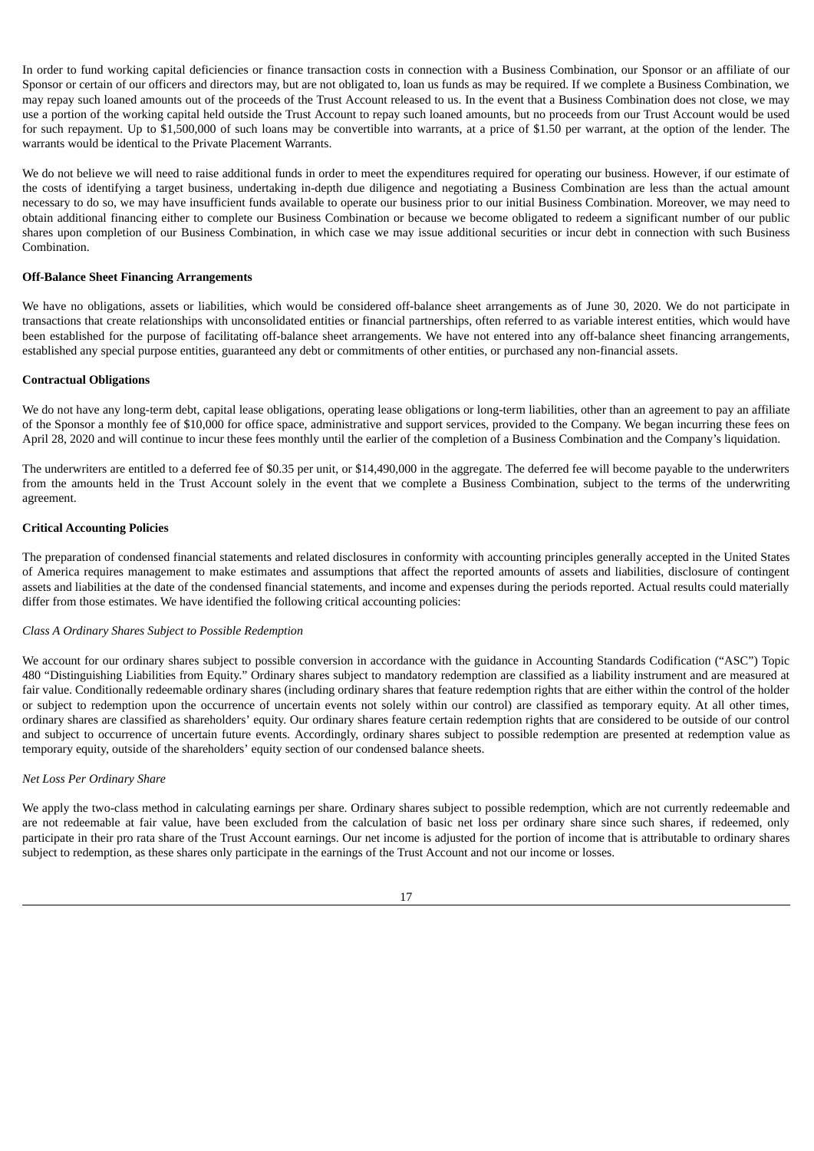In order to fund working capital deficiencies or finance transaction costs in connection with a Business Combination, our Sponsor or an affiliate of our Sponsor or certain of our officers and directors may, but are not obligated to, loan us funds as may be required. If we complete a Business Combination, we may repay such loaned amounts out of the proceeds of the Trust Account released to us. In the event that a Business Combination does not close, we may use a portion of the working capital held outside the Trust Account to repay such loaned amounts, but no proceeds from our Trust Account would be used for such repayment. Up to \$1,500,000 of such loans may be convertible into warrants, at a price of \$1.50 per warrant, at the option of the lender. The warrants would be identical to the Private Placement Warrants.

We do not believe we will need to raise additional funds in order to meet the expenditures required for operating our business. However, if our estimate of the costs of identifying a target business, undertaking in-depth due diligence and negotiating a Business Combination are less than the actual amount necessary to do so, we may have insufficient funds available to operate our business prior to our initial Business Combination. Moreover, we may need to obtain additional financing either to complete our Business Combination or because we become obligated to redeem a significant number of our public shares upon completion of our Business Combination, in which case we may issue additional securities or incur debt in connection with such Business Combination.

#### **Off-Balance Sheet Financing Arrangements**

We have no obligations, assets or liabilities, which would be considered off-balance sheet arrangements as of June 30, 2020. We do not participate in transactions that create relationships with unconsolidated entities or financial partnerships, often referred to as variable interest entities, which would have been established for the purpose of facilitating off-balance sheet arrangements. We have not entered into any off-balance sheet financing arrangements, established any special purpose entities, guaranteed any debt or commitments of other entities, or purchased any non-financial assets.

#### **Contractual Obligations**

We do not have any long-term debt, capital lease obligations, operating lease obligations or long-term liabilities, other than an agreement to pay an affiliate of the Sponsor a monthly fee of \$10,000 for office space, administrative and support services, provided to the Company. We began incurring these fees on April 28, 2020 and will continue to incur these fees monthly until the earlier of the completion of a Business Combination and the Company's liquidation.

The underwriters are entitled to a deferred fee of \$0.35 per unit, or \$14,490,000 in the aggregate. The deferred fee will become payable to the underwriters from the amounts held in the Trust Account solely in the event that we complete a Business Combination, subject to the terms of the underwriting agreement.

#### **Critical Accounting Policies**

The preparation of condensed financial statements and related disclosures in conformity with accounting principles generally accepted in the United States of America requires management to make estimates and assumptions that affect the reported amounts of assets and liabilities, disclosure of contingent assets and liabilities at the date of the condensed financial statements, and income and expenses during the periods reported. Actual results could materially differ from those estimates. We have identified the following critical accounting policies:

#### *Class A Ordinary Shares Subject to Possible Redemption*

We account for our ordinary shares subject to possible conversion in accordance with the guidance in Accounting Standards Codification ("ASC") Topic 480 "Distinguishing Liabilities from Equity." Ordinary shares subject to mandatory redemption are classified as a liability instrument and are measured at fair value. Conditionally redeemable ordinary shares (including ordinary shares that feature redemption rights that are either within the control of the holder or subject to redemption upon the occurrence of uncertain events not solely within our control) are classified as temporary equity. At all other times, ordinary shares are classified as shareholders' equity. Our ordinary shares feature certain redemption rights that are considered to be outside of our control and subject to occurrence of uncertain future events. Accordingly, ordinary shares subject to possible redemption are presented at redemption value as temporary equity, outside of the shareholders' equity section of our condensed balance sheets.

#### *Net Loss Per Ordinary Share*

We apply the two-class method in calculating earnings per share. Ordinary shares subject to possible redemption, which are not currently redeemable and are not redeemable at fair value, have been excluded from the calculation of basic net loss per ordinary share since such shares, if redeemed, only participate in their pro rata share of the Trust Account earnings. Our net income is adjusted for the portion of income that is attributable to ordinary shares subject to redemption, as these shares only participate in the earnings of the Trust Account and not our income or losses.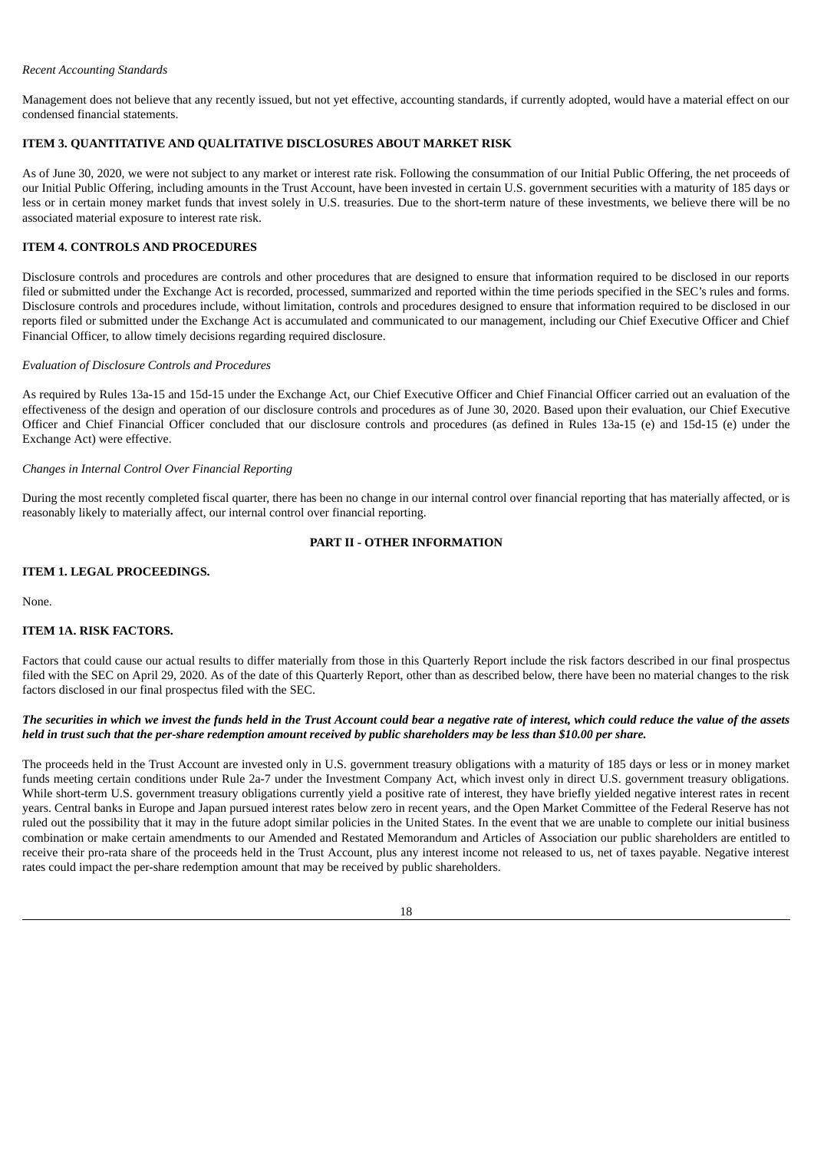#### *Recent Accounting Standards*

Management does not believe that any recently issued, but not yet effective, accounting standards, if currently adopted, would have a material effect on our condensed financial statements.

## <span id="page-19-0"></span>**ITEM 3. QUANTITATIVE AND QUALITATIVE DISCLOSURES ABOUT MARKET RISK**

As of June 30, 2020, we were not subject to any market or interest rate risk. Following the consummation of our Initial Public Offering, the net proceeds of our Initial Public Offering, including amounts in the Trust Account, have been invested in certain U.S. government securities with a maturity of 185 days or less or in certain money market funds that invest solely in U.S. treasuries. Due to the short-term nature of these investments, we believe there will be no associated material exposure to interest rate risk.

## <span id="page-19-1"></span>**ITEM 4. CONTROLS AND PROCEDURES**

Disclosure controls and procedures are controls and other procedures that are designed to ensure that information required to be disclosed in our reports filed or submitted under the Exchange Act is recorded, processed, summarized and reported within the time periods specified in the SEC's rules and forms. Disclosure controls and procedures include, without limitation, controls and procedures designed to ensure that information required to be disclosed in our reports filed or submitted under the Exchange Act is accumulated and communicated to our management, including our Chief Executive Officer and Chief Financial Officer, to allow timely decisions regarding required disclosure.

## *Evaluation of Disclosure Controls and Procedures*

As required by Rules 13a-15 and 15d-15 under the Exchange Act, our Chief Executive Officer and Chief Financial Officer carried out an evaluation of the effectiveness of the design and operation of our disclosure controls and procedures as of June 30, 2020. Based upon their evaluation, our Chief Executive Officer and Chief Financial Officer concluded that our disclosure controls and procedures (as defined in Rules 13a-15 (e) and 15d-15 (e) under the Exchange Act) were effective.

#### *Changes in Internal Control Over Financial Reporting*

During the most recently completed fiscal quarter, there has been no change in our internal control over financial reporting that has materially affected, or is reasonably likely to materially affect, our internal control over financial reporting.

## **PART II - OTHER INFORMATION**

#### <span id="page-19-3"></span><span id="page-19-2"></span>**ITEM 1. LEGAL PROCEEDINGS.**

None.

## <span id="page-19-4"></span>**ITEM 1A. RISK FACTORS.**

Factors that could cause our actual results to differ materially from those in this Quarterly Report include the risk factors described in our final prospectus filed with the SEC on April 29, 2020. As of the date of this Quarterly Report, other than as described below, there have been no material changes to the risk factors disclosed in our final prospectus filed with the SEC.

## The securities in which we invest the funds held in the Trust Account could bear a negative rate of interest, which could reduce the value of the assets held in trust such that the per-share redemption amount received by public shareholders may be less than \$10.00 per share.

The proceeds held in the Trust Account are invested only in U.S. government treasury obligations with a maturity of 185 days or less or in money market funds meeting certain conditions under Rule 2a-7 under the Investment Company Act, which invest only in direct U.S. government treasury obligations. While short-term U.S. government treasury obligations currently yield a positive rate of interest, they have briefly yielded negative interest rates in recent years. Central banks in Europe and Japan pursued interest rates below zero in recent years, and the Open Market Committee of the Federal Reserve has not ruled out the possibility that it may in the future adopt similar policies in the United States. In the event that we are unable to complete our initial business combination or make certain amendments to our Amended and Restated Memorandum and Articles of Association our public shareholders are entitled to receive their pro-rata share of the proceeds held in the Trust Account, plus any interest income not released to us, net of taxes payable. Negative interest rates could impact the per-share redemption amount that may be received by public shareholders.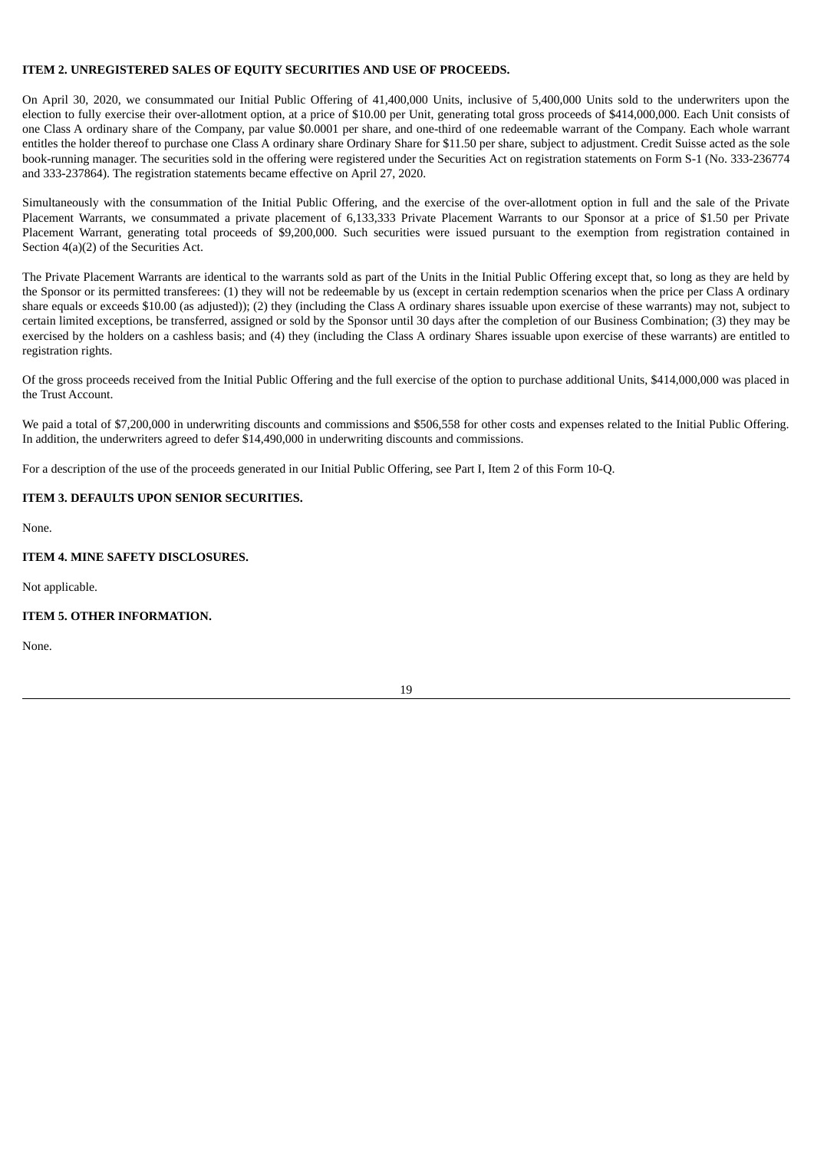## <span id="page-20-0"></span>**ITEM 2. UNREGISTERED SALES OF EQUITY SECURITIES AND USE OF PROCEEDS.**

On April 30, 2020, we consummated our Initial Public Offering of 41,400,000 Units, inclusive of 5,400,000 Units sold to the underwriters upon the election to fully exercise their over-allotment option, at a price of \$10.00 per Unit, generating total gross proceeds of \$414,000,000. Each Unit consists of one Class A ordinary share of the Company, par value \$0.0001 per share, and one-third of one redeemable warrant of the Company. Each whole warrant entitles the holder thereof to purchase one Class A ordinary share Ordinary Share for \$11.50 per share, subject to adjustment. Credit Suisse acted as the sole book-running manager. The securities sold in the offering were registered under the Securities Act on registration statements on Form S-1 (No. 333-236774 and 333-237864). The registration statements became effective on April 27, 2020.

Simultaneously with the consummation of the Initial Public Offering, and the exercise of the over-allotment option in full and the sale of the Private Placement Warrants, we consummated a private placement of 6,133,333 Private Placement Warrants to our Sponsor at a price of \$1.50 per Private Placement Warrant, generating total proceeds of \$9,200,000. Such securities were issued pursuant to the exemption from registration contained in Section 4(a)(2) of the Securities Act.

The Private Placement Warrants are identical to the warrants sold as part of the Units in the Initial Public Offering except that, so long as they are held by the Sponsor or its permitted transferees: (1) they will not be redeemable by us (except in certain redemption scenarios when the price per Class A ordinary share equals or exceeds \$10.00 (as adjusted)); (2) they (including the Class A ordinary shares issuable upon exercise of these warrants) may not, subject to certain limited exceptions, be transferred, assigned or sold by the Sponsor until 30 days after the completion of our Business Combination; (3) they may be exercised by the holders on a cashless basis; and (4) they (including the Class A ordinary Shares issuable upon exercise of these warrants) are entitled to registration rights.

Of the gross proceeds received from the Initial Public Offering and the full exercise of the option to purchase additional Units, \$414,000,000 was placed in the Trust Account.

We paid a total of \$7,200,000 in underwriting discounts and commissions and \$506,558 for other costs and expenses related to the Initial Public Offering. In addition, the underwriters agreed to defer \$14,490,000 in underwriting discounts and commissions.

For a description of the use of the proceeds generated in our Initial Public Offering, see Part I, Item 2 of this Form 10-Q.

## <span id="page-20-1"></span>**ITEM 3. DEFAULTS UPON SENIOR SECURITIES.**

None.

## <span id="page-20-2"></span>**ITEM 4. MINE SAFETY DISCLOSURES.**

Not applicable.

## <span id="page-20-3"></span>**ITEM 5. OTHER INFORMATION.**

None.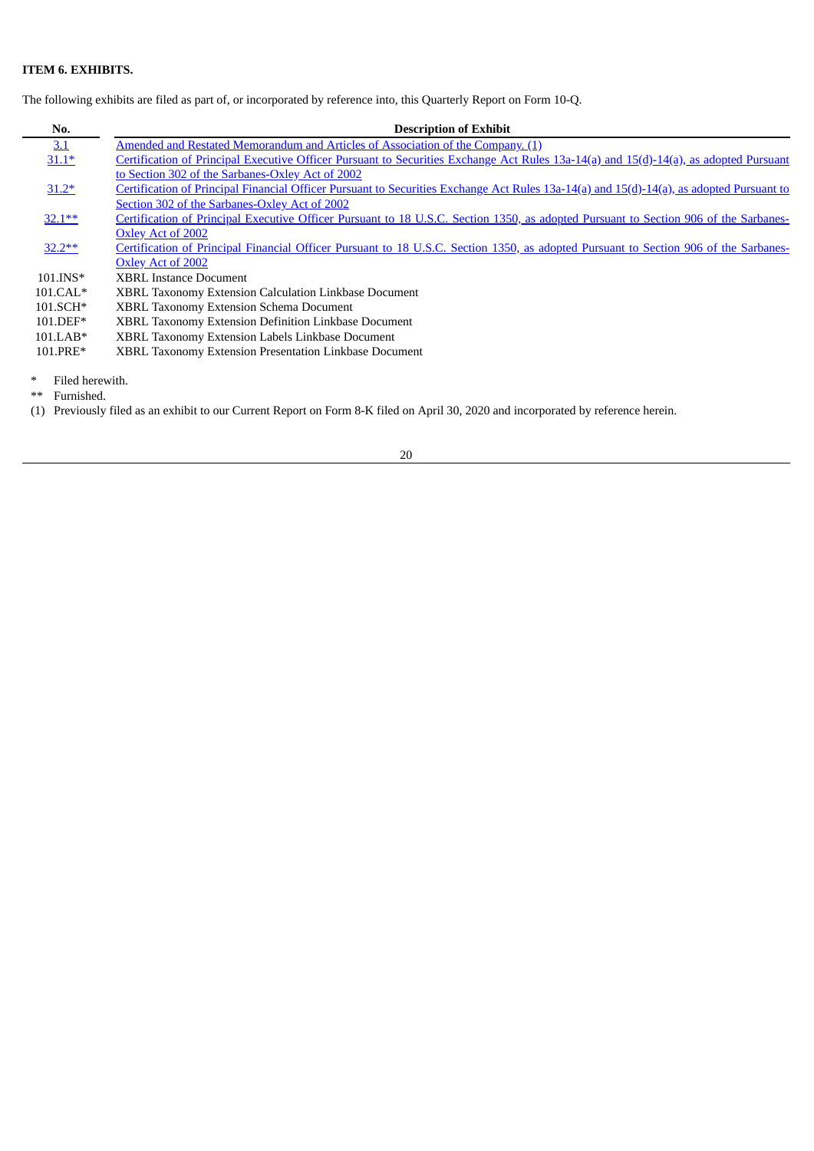## <span id="page-21-0"></span>**ITEM 6. EXHIBITS.**

The following exhibits are filed as part of, or incorporated by reference into, this Quarterly Report on Form 10-Q.

| No.         | <b>Description of Exhibit</b>                                                                                                            |
|-------------|------------------------------------------------------------------------------------------------------------------------------------------|
| 3.1         | <u>Amended and Restated Memorandum and Articles of Association of the Company. (1)</u>                                                   |
| $31.1*$     | Certification of Principal Executive Officer Pursuant to Securities Exchange Act Rules 13a-14(a) and 15(d)-14(a), as adopted Pursuant    |
|             | to Section 302 of the Sarbanes-Oxley Act of 2002                                                                                         |
| $31.2*$     | Certification of Principal Financial Officer Pursuant to Securities Exchange Act Rules 13a-14(a) and 15(d)-14(a), as adopted Pursuant to |
|             | Section 302 of the Sarbanes-Oxley Act of 2002                                                                                            |
| $32.1***$   | Certification of Principal Executive Officer Pursuant to 18 U.S.C. Section 1350, as adopted Pursuant to Section 906 of the Sarbanes-     |
|             | Oxley Act of 2002                                                                                                                        |
| $32.2**$    | Certification of Principal Financial Officer Pursuant to 18 U.S.C. Section 1350, as adopted Pursuant to Section 906 of the Sarbanes-     |
|             | Oxley Act of 2002                                                                                                                        |
| $101.INS*$  | <b>XBRL Instance Document</b>                                                                                                            |
| $101.CAL*$  | <b>XBRL Taxonomy Extension Calculation Linkbase Document</b>                                                                             |
| $101.SCH*$  | <b>XBRL Taxonomy Extension Schema Document</b>                                                                                           |
| $101.$ DEF* | XBRL Taxonomy Extension Definition Linkbase Document                                                                                     |
| $101.LAB*$  | XBRL Taxonomy Extension Labels Linkbase Document                                                                                         |
| 101.PRE*    | XBRL Taxonomy Extension Presentation Linkbase Document                                                                                   |

\* Filed herewith.

\*\* Furnished.

(1) Previously filed as an exhibit to our Current Report on Form 8-K filed on April 30, 2020 and incorporated by reference herein.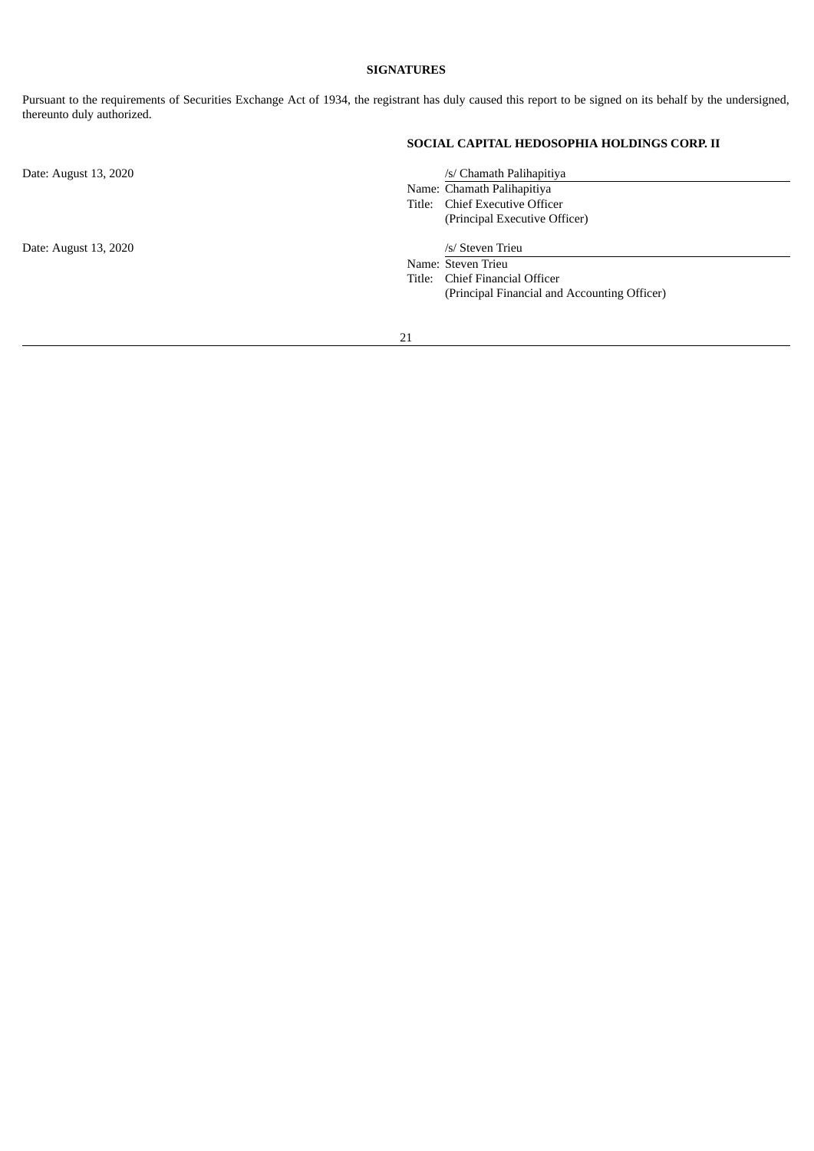## **SIGNATURES**

<span id="page-22-0"></span>Pursuant to the requirements of Securities Exchange Act of 1934, the registrant has duly caused this report to be signed on its behalf by the undersigned, thereunto duly authorized.

| SOCIAL CAPITAL HEDOSOPHIA HOLDINGS CORP. II |  |
|---------------------------------------------|--|
|---------------------------------------------|--|

|  |  | /s/ Chamath Palihapitiya |
|--|--|--------------------------|
|--|--|--------------------------|

- Name: Chamath Palihapitiya
- Title: Chief Executive Officer

(Principal Executive Officer)

Name: Steven Trieu Title: Chief Financial Officer (Principal Financial and Accounting Officer)

21

Date: August 13, 2020

Date: August 13, 2020 /s/ Steven Trieu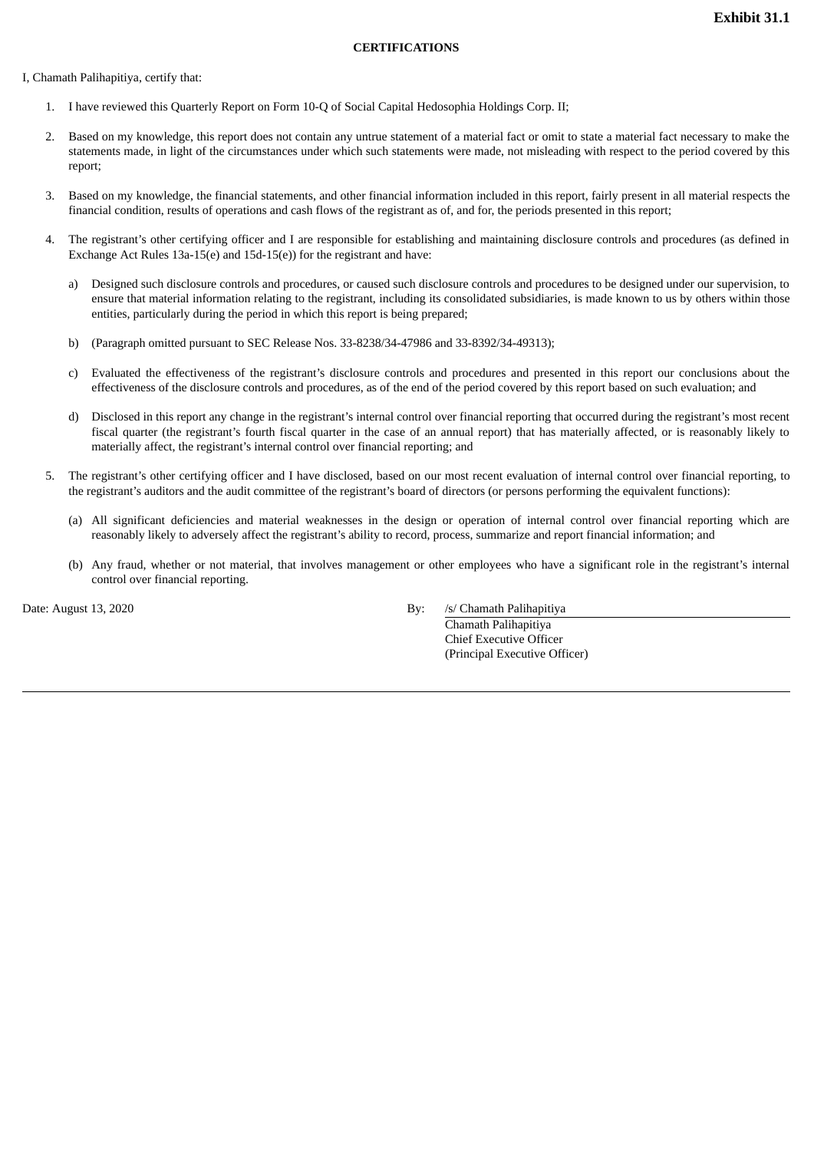#### **CERTIFICATIONS**

<span id="page-23-0"></span>I, Chamath Palihapitiya, certify that:

- 1. I have reviewed this Quarterly Report on Form 10-Q of Social Capital Hedosophia Holdings Corp. II;
- 2. Based on my knowledge, this report does not contain any untrue statement of a material fact or omit to state a material fact necessary to make the statements made, in light of the circumstances under which such statements were made, not misleading with respect to the period covered by this report;
- 3. Based on my knowledge, the financial statements, and other financial information included in this report, fairly present in all material respects the financial condition, results of operations and cash flows of the registrant as of, and for, the periods presented in this report;
- 4. The registrant's other certifying officer and I are responsible for establishing and maintaining disclosure controls and procedures (as defined in Exchange Act Rules 13a-15(e) and 15d-15(e)) for the registrant and have:
	- a) Designed such disclosure controls and procedures, or caused such disclosure controls and procedures to be designed under our supervision, to ensure that material information relating to the registrant, including its consolidated subsidiaries, is made known to us by others within those entities, particularly during the period in which this report is being prepared;
	- b) (Paragraph omitted pursuant to SEC Release Nos. 33-8238/34-47986 and 33-8392/34-49313);
	- c) Evaluated the effectiveness of the registrant's disclosure controls and procedures and presented in this report our conclusions about the effectiveness of the disclosure controls and procedures, as of the end of the period covered by this report based on such evaluation; and
	- d) Disclosed in this report any change in the registrant's internal control over financial reporting that occurred during the registrant's most recent fiscal quarter (the registrant's fourth fiscal quarter in the case of an annual report) that has materially affected, or is reasonably likely to materially affect, the registrant's internal control over financial reporting; and
- 5. The registrant's other certifying officer and I have disclosed, based on our most recent evaluation of internal control over financial reporting, to the registrant's auditors and the audit committee of the registrant's board of directors (or persons performing the equivalent functions):
	- (a) All significant deficiencies and material weaknesses in the design or operation of internal control over financial reporting which are reasonably likely to adversely affect the registrant's ability to record, process, summarize and report financial information; and
	- (b) Any fraud, whether or not material, that involves management or other employees who have a significant role in the registrant's internal control over financial reporting.

Date: August 13, 2020 By: /s/ Chamath Palihapitiya

Chamath Palihapitiya Chief Executive Officer (Principal Executive Officer)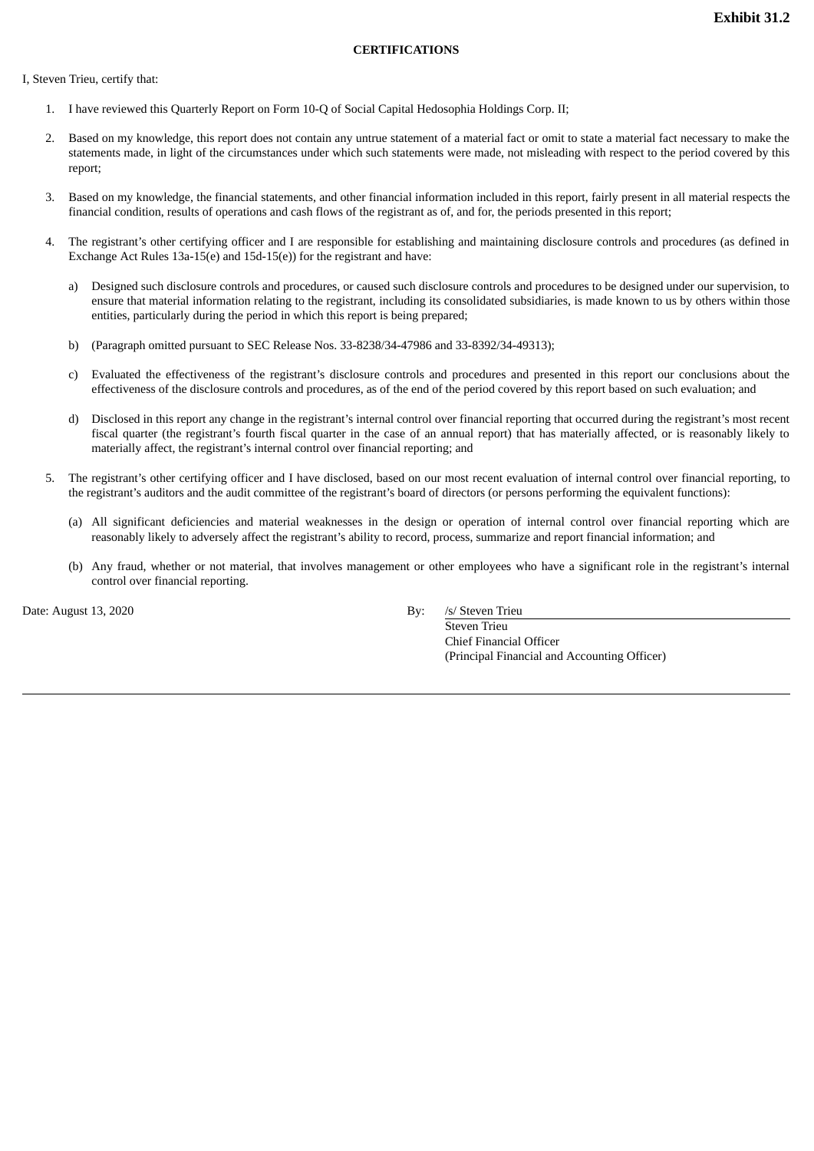#### **CERTIFICATIONS**

<span id="page-24-0"></span>I, Steven Trieu, certify that:

- 1. I have reviewed this Quarterly Report on Form 10-Q of Social Capital Hedosophia Holdings Corp. II;
- 2. Based on my knowledge, this report does not contain any untrue statement of a material fact or omit to state a material fact necessary to make the statements made, in light of the circumstances under which such statements were made, not misleading with respect to the period covered by this report;
- 3. Based on my knowledge, the financial statements, and other financial information included in this report, fairly present in all material respects the financial condition, results of operations and cash flows of the registrant as of, and for, the periods presented in this report;
- 4. The registrant's other certifying officer and I are responsible for establishing and maintaining disclosure controls and procedures (as defined in Exchange Act Rules 13a-15(e) and 15d-15(e)) for the registrant and have:
	- a) Designed such disclosure controls and procedures, or caused such disclosure controls and procedures to be designed under our supervision, to ensure that material information relating to the registrant, including its consolidated subsidiaries, is made known to us by others within those entities, particularly during the period in which this report is being prepared;
	- b) (Paragraph omitted pursuant to SEC Release Nos. 33-8238/34-47986 and 33-8392/34-49313);
	- c) Evaluated the effectiveness of the registrant's disclosure controls and procedures and presented in this report our conclusions about the effectiveness of the disclosure controls and procedures, as of the end of the period covered by this report based on such evaluation; and
	- d) Disclosed in this report any change in the registrant's internal control over financial reporting that occurred during the registrant's most recent fiscal quarter (the registrant's fourth fiscal quarter in the case of an annual report) that has materially affected, or is reasonably likely to materially affect, the registrant's internal control over financial reporting; and
- 5. The registrant's other certifying officer and I have disclosed, based on our most recent evaluation of internal control over financial reporting, to the registrant's auditors and the audit committee of the registrant's board of directors (or persons performing the equivalent functions):
	- (a) All significant deficiencies and material weaknesses in the design or operation of internal control over financial reporting which are reasonably likely to adversely affect the registrant's ability to record, process, summarize and report financial information; and
	- (b) Any fraud, whether or not material, that involves management or other employees who have a significant role in the registrant's internal control over financial reporting.

Date: August 13, 2020 By: /s/ Steven Trieu

Steven Trieu Chief Financial Officer (Principal Financial and Accounting Officer)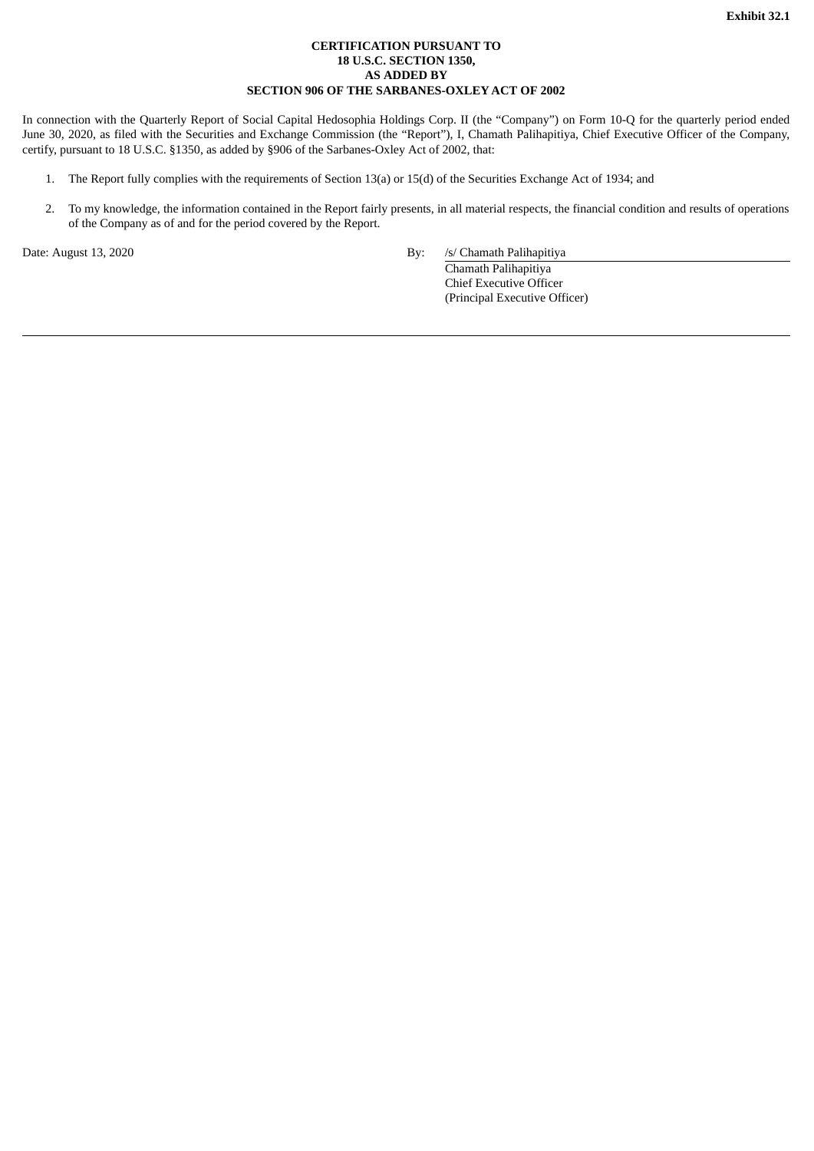## **CERTIFICATION PURSUANT TO 18 U.S.C. SECTION 1350, AS ADDED BY SECTION 906 OF THE SARBANES-OXLEY ACT OF 2002**

<span id="page-25-0"></span>In connection with the Quarterly Report of Social Capital Hedosophia Holdings Corp. II (the "Company") on Form 10-Q for the quarterly period ended June 30, 2020, as filed with the Securities and Exchange Commission (the "Report"), I, Chamath Palihapitiya, Chief Executive Officer of the Company, certify, pursuant to 18 U.S.C. §1350, as added by §906 of the Sarbanes-Oxley Act of 2002, that:

- 1. The Report fully complies with the requirements of Section 13(a) or 15(d) of the Securities Exchange Act of 1934; and
- 2. To my knowledge, the information contained in the Report fairly presents, in all material respects, the financial condition and results of operations of the Company as of and for the period covered by the Report.

Date: August 13, 2020 By: /s/ Chamath Palihapitiya

Chamath Palihapitiya Chief Executive Officer (Principal Executive Officer)